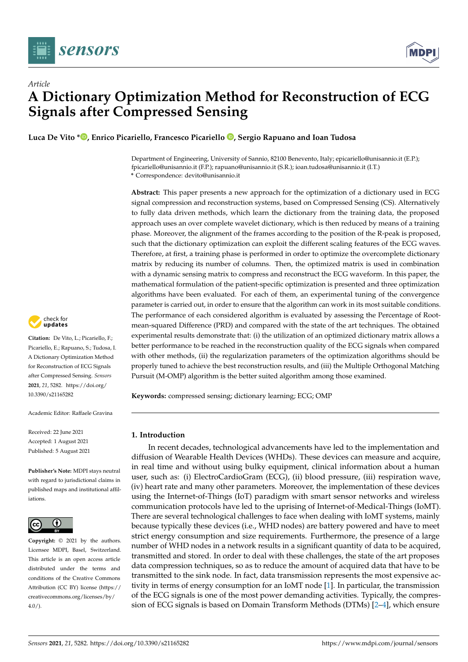



**Luca De Vito [\\*](https://orcid.org/0000-0003-1896-2614) , Enrico Picariello, Francesco Picariello [,](https://orcid.org/0000-0001-6854-3026) Sergio Rapuano and Ioan Tudosa**

Department of Engineering, University of Sannio, 82100 Benevento, Italy; epicariello@unisannio.it (E.P.); fpicariello@unisannio.it (F.P.); rapuano@unisannio.it (S.R.); ioan.tudosa@unisannio.it (I.T.) **\*** Correspondence: devito@unisannio.it

**Abstract:** This paper presents a new approach for the optimization of a dictionary used in ECG signal compression and reconstruction systems, based on Compressed Sensing (CS). Alternatively to fully data driven methods, which learn the dictionary from the training data, the proposed approach uses an over complete wavelet dictionary, which is then reduced by means of a training phase. Moreover, the alignment of the frames according to the position of the R-peak is proposed, such that the dictionary optimization can exploit the different scaling features of the ECG waves. Therefore, at first, a training phase is performed in order to optimize the overcomplete dictionary matrix by reducing its number of columns. Then, the optimized matrix is used in combination with a dynamic sensing matrix to compress and reconstruct the ECG waveform. In this paper, the mathematical formulation of the patient-specific optimization is presented and three optimization algorithms have been evaluated. For each of them, an experimental tuning of the convergence parameter is carried out, in order to ensure that the algorithm can work in its most suitable conditions. The performance of each considered algorithm is evaluated by assessing the Percentage of Rootmean-squared Difference (PRD) and compared with the state of the art techniques. The obtained experimental results demonstrate that: (i) the utilization of an optimized dictionary matrix allows a better performance to be reached in the reconstruction quality of the ECG signals when compared with other methods, (ii) the regularization parameters of the optimization algorithms should be properly tuned to achieve the best reconstruction results, and (iii) the Multiple Orthogonal Matching Pursuit (M-OMP) algorithm is the better suited algorithm among those examined.

**Keywords:** compressed sensing; dictionary learning; ECG; OMP

# **1. Introduction**

In recent decades, technological advancements have led to the implementation and diffusion of Wearable Health Devices (WHDs). These devices can measure and acquire, in real time and without using bulky equipment, clinical information about a human user, such as: (i) ElectroCardioGram (ECG), (ii) blood pressure, (iii) respiration wave, (iv) heart rate and many other parameters. Moreover, the implementation of these devices using the Internet-of-Things (IoT) paradigm with smart sensor networks and wireless communication protocols have led to the uprising of Internet-of-Medical-Things (IoMT). There are several technological challenges to face when dealing with IoMT systems, mainly because typically these devices (i.e., WHD nodes) are battery powered and have to meet strict energy consumption and size requirements. Furthermore, the presence of a large number of WHD nodes in a network results in a significant quantity of data to be acquired, transmitted and stored. In order to deal with these challenges, the state of the art proposes data compression techniques, so as to reduce the amount of acquired data that have to be transmitted to the sink node. In fact, data transmission represents the most expensive activity in terms of energy consumption for an IoMT node [\[1\]](#page-20-0). In particular, the transmission of the ECG signals is one of the most power demanding activities. Typically, the compression of ECG signals is based on Domain Transform Methods (DTMs) [\[2–](#page-20-1)[4\]](#page-20-2), which ensure



**Citation:** De Vito, L.; Picariello, F.; Picariello, E.; Rapuano, S.; Tudosa, I. A Dictionary Optimization Method for Reconstruction of ECG Signals after Compressed Sensing. *Sensors* **2021**, *21*, 5282. [https://doi.org/](https://doi.org/10.3390/s21165282) [10.3390/s21165282](https://doi.org/10.3390/s21165282)

Academic Editor: Raffaele Gravina

Received: 22 June 2021 Accepted: 1 August 2021 Published: 5 August 2021

**Publisher's Note:** MDPI stays neutral with regard to jurisdictional claims in published maps and institutional affiliations.



**Copyright:** © 2021 by the authors. Licensee MDPI, Basel, Switzerland. This article is an open access article distributed under the terms and conditions of the Creative Commons Attribution (CC BY) license (https:/[/](https://creativecommons.org/licenses/by/4.0/) [creativecommons.org/licenses/by/](https://creativecommons.org/licenses/by/4.0/)  $4.0/$ ).

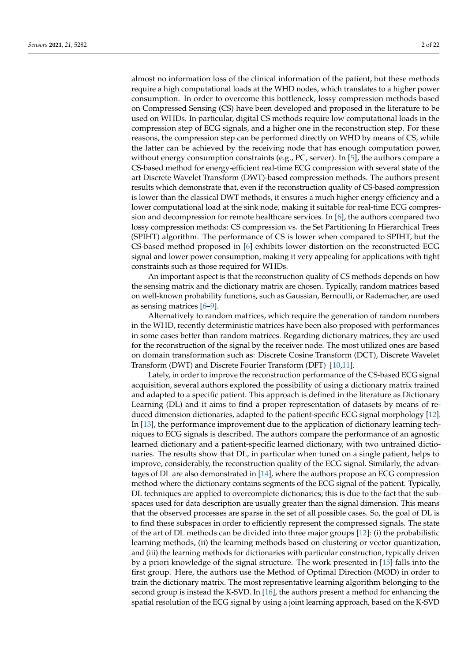almost no information loss of the clinical information of the patient, but these methods require a high computational loads at the WHD nodes, which translates to a higher power consumption. In order to overcome this bottleneck, lossy compression methods based on Compressed Sensing (CS) have been developed and proposed in the literature to be used on WHDs. In particular, digital CS methods require low computational loads in the compression step of ECG signals, and a higher one in the reconstruction step. For these reasons, the compression step can be performed directly on WHD by means of CS, while the latter can be achieved by the receiving node that has enough computation power, without energy consumption constraints (e.g., PC, server). In [\[5\]](#page-20-3), the authors compare a CS-based method for energy-efficient real-time ECG compression with several state of the art Discrete Wavelet Transform (DWT)-based compression methods. The authors present results which demonstrate that, even if the reconstruction quality of CS-based compression is lower than the classical DWT methods, it ensures a much higher energy efficiency and a lower computational load at the sink node, making it suitable for real-time ECG compression and decompression for remote healthcare services. In [\[6\]](#page-20-4), the authors compared two lossy compression methods: CS compression vs. the Set Partitioning In Hierarchical Trees (SPIHT) algorithm. The performance of CS is lower when compared to SPIHT, but the CS-based method proposed in [\[6\]](#page-20-4) exhibits lower distortion on the reconstructed ECG signal and lower power consumption, making it very appealing for applications with tight constraints such as those required for WHDs.

An important aspect is that the reconstruction quality of CS methods depends on how the sensing matrix and the dictionary matrix are chosen. Typically, random matrices based on well-known probability functions, such as Gaussian, Bernoulli, or Rademacher, are used as sensing matrices [\[6–](#page-20-4)[9\]](#page-20-5).

Alternatively to random matrices, which require the generation of random numbers in the WHD, recently deterministic matrices have been also proposed with performances in some cases better than random matrices. Regarding dictionary matrices, they are used for the reconstruction of the signal by the receiver node. The most utilized ones are based on domain transformation such as: Discrete Cosine Transform (DCT), Discrete Wavelet Transform (DWT) and Discrete Fourier Transform (DFT) [\[10,](#page-20-6)[11\]](#page-20-7).

Lately, in order to improve the reconstruction performance of the CS-based ECG signal acquisition, several authors explored the possibility of using a dictionary matrix trained and adapted to a specific patient. This approach is defined in the literature as Dictionary Learning (DL) and it aims to find a proper representation of datasets by means of reduced dimension dictionaries, adapted to the patient-specific ECG signal morphology [\[12\]](#page-20-8). In [\[13\]](#page-20-9), the performance improvement due to the application of dictionary learning techniques to ECG signals is described. The authors compare the performance of an agnostic learned dictionary and a patient-specific learned dictionary, with two untrained dictionaries. The results show that DL, in particular when tuned on a single patient, helps to improve, considerably, the reconstruction quality of the ECG signal. Similarly, the advantages of DL are also demonstrated in [\[14\]](#page-20-10), where the authors propose an ECG compression method where the dictionary contains segments of the ECG signal of the patient. Typically, DL techniques are applied to overcomplete dictionaries; this is due to the fact that the subspaces used for data description are usually greater than the signal dimension. This means that the observed processes are sparse in the set of all possible cases. So, the goal of DL is to find these subspaces in order to efficiently represent the compressed signals. The state of the art of DL methods can be divided into three major groups [\[12\]](#page-20-8): (i) the probabilistic learning methods, (ii) the learning methods based on clustering or vector quantization, and (iii) the learning methods for dictionaries with particular construction, typically driven by a priori knowledge of the signal structure. The work presented in [\[15\]](#page-20-11) falls into the first group. Here, the authors use the Method of Optimal Direction (MOD) in order to train the dictionary matrix. The most representative learning algorithm belonging to the second group is instead the K-SVD. In [\[16\]](#page-20-12), the authors present a method for enhancing the spatial resolution of the ECG signal by using a joint learning approach, based on the K-SVD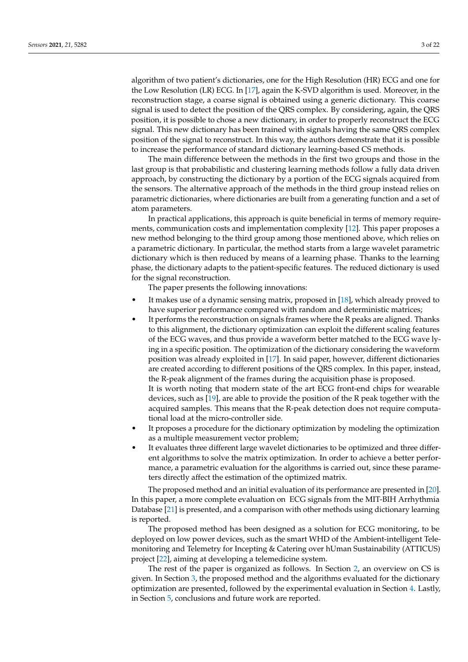algorithm of two patient's dictionaries, one for the High Resolution (HR) ECG and one for the Low Resolution (LR) ECG. In [\[17\]](#page-20-13), again the K-SVD algorithm is used. Moreover, in the reconstruction stage, a coarse signal is obtained using a generic dictionary. This coarse signal is used to detect the position of the QRS complex. By considering, again, the QRS position, it is possible to chose a new dictionary, in order to properly reconstruct the ECG signal. This new dictionary has been trained with signals having the same QRS complex position of the signal to reconstruct. In this way, the authors demonstrate that it is possible to increase the performance of standard dictionary learning-based CS methods.

The main difference between the methods in the first two groups and those in the last group is that probabilistic and clustering learning methods follow a fully data driven approach, by constructing the dictionary by a portion of the ECG signals acquired from the sensors. The alternative approach of the methods in the third group instead relies on parametric dictionaries, where dictionaries are built from a generating function and a set of atom parameters.

In practical applications, this approach is quite beneficial in terms of memory requirements, communication costs and implementation complexity [\[12\]](#page-20-8). This paper proposes a new method belonging to the third group among those mentioned above, which relies on a parametric dictionary. In particular, the method starts from a large wavelet parametric dictionary which is then reduced by means of a learning phase. Thanks to the learning phase, the dictionary adapts to the patient-specific features. The reduced dictionary is used for the signal reconstruction.

The paper presents the following innovations:

- It makes use of a dynamic sensing matrix, proposed in [\[18\]](#page-20-14), which already proved to have superior performance compared with random and deterministic matrices;
- It performs the reconstruction on signals frames where the R peaks are aligned. Thanks to this alignment, the dictionary optimization can exploit the different scaling features of the ECG waves, and thus provide a waveform better matched to the ECG wave lying in a specific position. The optimization of the dictionary considering the waveform position was already exploited in [\[17\]](#page-20-13). In said paper, however, different dictionaries are created according to different positions of the QRS complex. In this paper, instead, the R-peak alignment of the frames during the acquisition phase is proposed. It is worth noting that modern state of the art ECG front-end chips for wearable devices, such as [\[19\]](#page-20-15), are able to provide the position of the R peak together with the acquired samples. This means that the R-peak detection does not require computa-
- tional load at the micro-controller side. It proposes a procedure for the dictionary optimization by modeling the optimization as a multiple measurement vector problem;
- It evaluates three different large wavelet dictionaries to be optimized and three different algorithms to solve the matrix optimization. In order to achieve a better performance, a parametric evaluation for the algorithms is carried out, since these parameters directly affect the estimation of the optimized matrix.

The proposed method and an initial evaluation of its performance are presented in [\[20\]](#page-20-16). In this paper, a more complete evaluation on ECG signals from the MIT-BIH Arrhythmia Database [\[21\]](#page-20-17) is presented, and a comparison with other methods using dictionary learning is reported.

The proposed method has been designed as a solution for ECG monitoring, to be deployed on low power devices, such as the smart WHD of the Ambient-intelligent Telemonitoring and Telemetry for Incepting & Catering over hUman Sustainability (ATTICUS) project [\[22\]](#page-20-18), aiming at developing a telemedicine system.

The rest of the paper is organized as follows. In Section [2,](#page-3-0) an overview on CS is given. In Section [3,](#page-3-1) the proposed method and the algorithms evaluated for the dictionary optimization are presented, followed by the experimental evaluation in Section [4.](#page-10-0) Lastly, in Section [5,](#page-19-0) conclusions and future work are reported.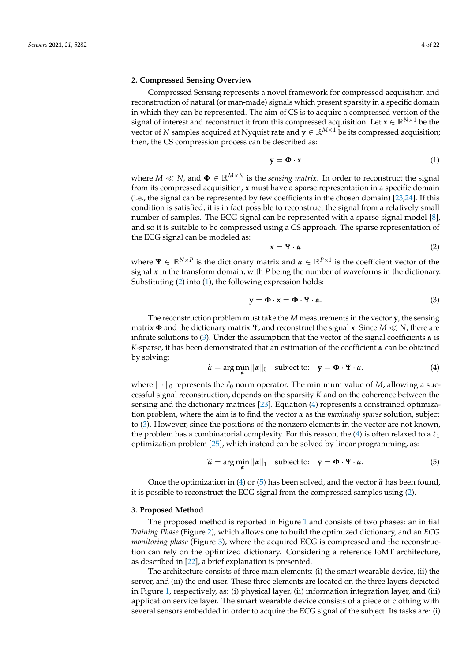### <span id="page-3-0"></span>**2. Compressed Sensing Overview**

Compressed Sensing represents a novel framework for compressed acquisition and reconstruction of natural (or man-made) signals which present sparsity in a specific domain in which they can be represented. The aim of CS is to acquire a compressed version of the signal of interest and reconstruct it from this compressed acquisition. Let  $\mathbf{x} \in \mathbb{R}^{N \times 1}$  be the vector of *N* samples acquired at Nyquist rate and  $y \in \mathbb{R}^{M \times 1}$  be its compressed acquisition; then, the CS compression process can be described as:

<span id="page-3-3"></span>
$$
y = \Phi \cdot x \tag{1}
$$

where  $M \ll N$ , and  $\Phi \in \mathbb{R}^{M \times N}$  is the *sensing matrix*. In order to reconstruct the signal from its compressed acquisition, **x** must have a sparse representation in a specific domain (i.e., the signal can be represented by few coefficients in the chosen domain) [\[23](#page-20-19)[,24\]](#page-20-20). If this condition is satisfied, it is in fact possible to reconstruct the signal from a relatively small number of samples. The ECG signal can be represented with a sparse signal model [\[8\]](#page-20-21), and so it is suitable to be compressed using a CS approach. The sparse representation of the ECG signal can be modeled as:

<span id="page-3-2"></span>
$$
\mathbf{x} = \mathbf{\Psi} \cdot \mathbf{\alpha} \tag{2}
$$

where  $\Psi \in \mathbb{R}^{N \times P}$  is the dictionary matrix and  $\alpha \in \mathbb{R}^{P \times 1}$  is the coefficient vector of the signal *x* in the transform domain, with *P* being the number of waveforms in the dictionary. Substituting [\(2\)](#page-3-2) into [\(1\)](#page-3-3), the following expression holds:

<span id="page-3-4"></span>
$$
y = \Phi \cdot x = \Phi \cdot \Psi \cdot \alpha. \tag{3}
$$

The reconstruction problem must take the *M* measurements in the vector **y**, the sensing matrix  $\Phi$  and the dictionary matrix  $\Psi$ , and reconstruct the signal **x**. Since  $M \ll N$ , there are infinite solutions to [\(3\)](#page-3-4). Under the assumption that the vector of the signal coefficients *α* is *K*-sparse, it has been demonstrated that an estimation of the coefficient *α* can be obtained by solving:

<span id="page-3-5"></span>
$$
\widehat{\boldsymbol{\alpha}} = \arg\min_{\boldsymbol{\alpha}} \|\boldsymbol{\alpha}\|_0 \quad \text{subject to:} \quad \mathbf{y} = \boldsymbol{\Phi} \cdot \mathbf{\Psi} \cdot \boldsymbol{\alpha}. \tag{4}
$$

where  $\|\cdot\|_0$  represents the  $\ell_0$  norm operator. The minimum value of *M*, allowing a successful signal reconstruction, depends on the sparsity *K* and on the coherence between the sensing and the dictionary matrices [\[23\]](#page-20-19). Equation [\(4\)](#page-3-5) represents a constrained optimization problem, where the aim is to find the vector *α* as the *maximally sparse* solution, subject to [\(3\)](#page-3-4). However, since the positions of the nonzero elements in the vector are not known, the problem has a combinatorial complexity. For this reason, the [\(4\)](#page-3-5) is often relaxed to a  $\ell_1$ optimization problem [\[25\]](#page-20-22), which instead can be solved by linear programming, as:

<span id="page-3-6"></span>
$$
\widehat{\boldsymbol{\alpha}} = \arg\min_{\boldsymbol{\alpha}} \|\boldsymbol{\alpha}\|_1 \quad \text{subject to:} \quad \mathbf{y} = \boldsymbol{\Phi} \cdot \boldsymbol{\Psi} \cdot \boldsymbol{\alpha}. \tag{5}
$$

Once the optimization in [\(4\)](#page-3-5) or [\(5\)](#page-3-6) has been solved, and the vector  $\hat{\alpha}$  has been found, it is possible to reconstruct the ECG signal from the compressed samples using [\(2\)](#page-3-2).

### <span id="page-3-1"></span>**3. Proposed Method**

The proposed method is reported in Figure [1](#page-4-0) and consists of two phases: an initial *Training Phase* (Figure [2\)](#page-4-1), which allows one to build the optimized dictionary, and an *ECG monitoring phase* (Figure [3\)](#page-5-0), where the acquired ECG is compressed and the reconstruction can rely on the optimized dictionary. Considering a reference IoMT architecture, as described in [\[22\]](#page-20-18), a brief explanation is presented.

The architecture consists of three main elements: (i) the smart wearable device, (ii) the server, and (iii) the end user. These three elements are located on the three layers depicted in Figure [1,](#page-4-0) respectively, as: (i) physical layer, (ii) information integration layer, and (iii) application service layer. The smart wearable device consists of a piece of clothing with several sensors embedded in order to acquire the ECG signal of the subject. Its tasks are: (i)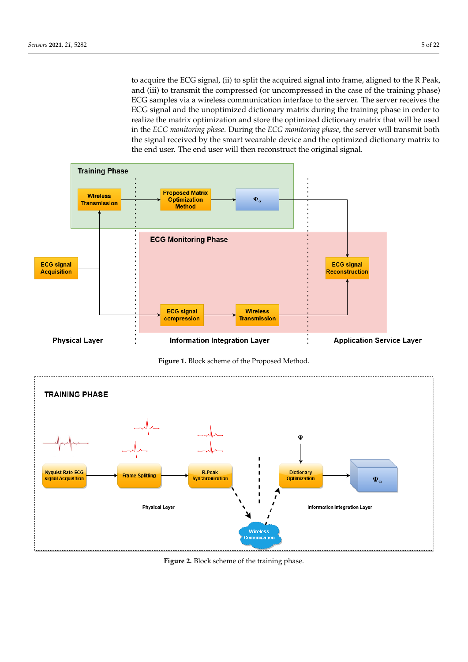to acquire the ECG signal, (ii) to split the acquired signal into frame, aligned to the R Peak, and (iii) to transmit the compressed (or uncompressed in the case of the training phase) ECG samples via a wireless communication interface to the server. The server receives the ECG signal and the unoptimized dictionary matrix during the training phase in order to realize the matrix optimization and store the optimized dictionary matrix that will be used in the *ECG monitoring phase*. During the *ECG monitoring phase*, the server will transmit both the signal received by the smart wearable device and the optimized dictionary matrix to the end user. The end user will then reconstruct the original signal.

<span id="page-4-0"></span>

**Figure 1.** Block scheme of the Proposed Method.

<span id="page-4-1"></span>

**Figure 2.** Block scheme of the training phase.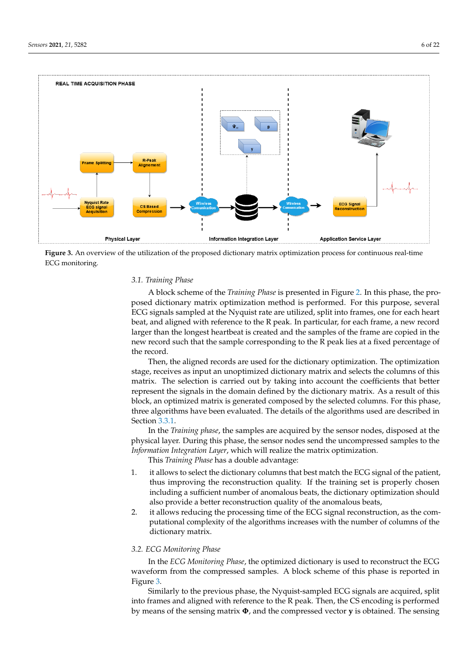<span id="page-5-0"></span>

**Figure 3.** An overview of the utilization of the proposed dictionary matrix optimization process for continuous real-time ECG monitoring.

# *3.1. Training Phase*

A block scheme of the *Training Phase* is presented in Figure [2.](#page-4-1) In this phase, the proposed dictionary matrix optimization method is performed. For this purpose, several ECG signals sampled at the Nyquist rate are utilized, split into frames, one for each heart beat, and aligned with reference to the R peak. In particular, for each frame, a new record larger than the longest heartbeat is created and the samples of the frame are copied in the new record such that the sample corresponding to the R peak lies at a fixed percentage of the record.

Then, the aligned records are used for the dictionary optimization. The optimization stage, receives as input an unoptimized dictionary matrix and selects the columns of this matrix. The selection is carried out by taking into account the coefficients that better represent the signals in the domain defined by the dictionary matrix. As a result of this block, an optimized matrix is generated composed by the selected columns. For this phase, three algorithms have been evaluated. The details of the algorithms used are described in Section [3.3.1.](#page-7-0)

In the *Training phase*, the samples are acquired by the sensor nodes, disposed at the physical layer. During this phase, the sensor nodes send the uncompressed samples to the *Information Integration Layer*, which will realize the matrix optimization.

This *Training Phase* has a double advantage:

- 1. it allows to select the dictionary columns that best match the ECG signal of the patient, thus improving the reconstruction quality. If the training set is properly chosen including a sufficient number of anomalous beats, the dictionary optimization should also provide a better reconstruction quality of the anomalous beats,
- 2. it allows reducing the processing time of the ECG signal reconstruction, as the computational complexity of the algorithms increases with the number of columns of the dictionary matrix.

### *3.2. ECG Monitoring Phase*

In the *ECG Monitoring Phase*, the optimized dictionary is used to reconstruct the ECG waveform from the compressed samples. A block scheme of this phase is reported in Figure [3.](#page-5-0)

Similarly to the previous phase, the Nyquist-sampled ECG signals are acquired, split into frames and aligned with reference to the R peak. Then, the CS encoding is performed by means of the sensing matrix **Φ**, and the compressed vector **y** is obtained. The sensing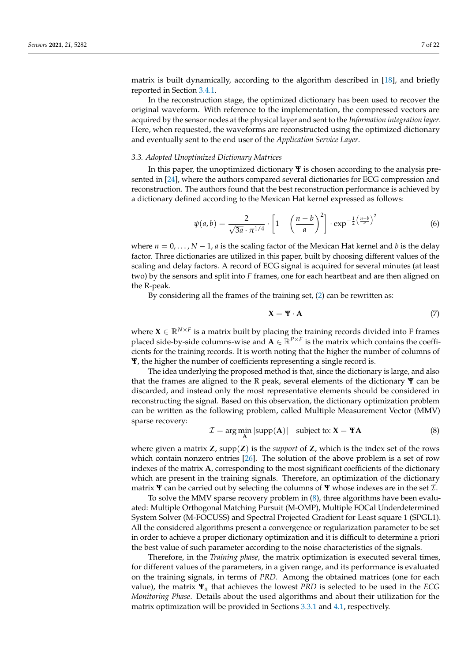matrix is built dynamically, according to the algorithm described in [\[18\]](#page-20-14), and briefly reported in Section [3.4.1.](#page-10-1)

In the reconstruction stage, the optimized dictionary has been used to recover the original waveform. With reference to the implementation, the compressed vectors are acquired by the sensor nodes at the physical layer and sent to the *Information integration layer*. Here, when requested, the waveforms are reconstructed using the optimized dictionary and eventually sent to the end user of the *Application Service Layer*.

#### *3.3. Adopted Unoptimized Dictionary Matrices*

In this paper, the unoptimized dictionary **Ψ** is chosen according to the analysis presented in [\[24\]](#page-20-20), where the authors compared several dictionaries for ECG compression and reconstruction. The authors found that the best reconstruction performance is achieved by a dictionary defined according to the Mexican Hat kernel expressed as follows:

$$
\psi(a,b) = \frac{2}{\sqrt{3a} \cdot \pi^{1/4}} \cdot \left[1 - \left(\frac{n-b}{a}\right)^2\right] \cdot \exp^{-\frac{1}{2}\left(\frac{n-b}{a}\right)^2} \tag{6}
$$

where  $n = 0, \ldots, N-1$ , *a* is the scaling factor of the Mexican Hat kernel and *b* is the delay factor. Three dictionaries are utilized in this paper, built by choosing different values of the scaling and delay factors. A record of ECG signal is acquired for several minutes (at least two) by the sensors and split into *F* frames, one for each heartbeat and are then aligned on the R-peak.

By considering all the frames of the training set, [\(2\)](#page-3-2) can be rewritten as:

$$
\mathbf{X} = \mathbf{\Psi} \cdot \mathbf{A} \tag{7}
$$

where  $\mathbf{X} \in \mathbb{R}^{N \times F}$  is a matrix built by placing the training records divided into F frames placed side-by-side columns-wise and  $A \in \mathbb{R}^{P \times F}$  is the matrix which contains the coefficients for the training records. It is worth noting that the higher the number of columns of **Ψ**, the higher the number of coefficients representing a single record is.

The idea underlying the proposed method is that, since the dictionary is large, and also that the frames are aligned to the R peak, several elements of the dictionary **Ψ** can be discarded, and instead only the most representative elements should be considered in reconstructing the signal. Based on this observation, the dictionary optimization problem can be written as the following problem, called Multiple Measurement Vector (MMV) sparse recovery:

<span id="page-6-0"></span>
$$
\mathcal{I} = \arg\min_{\mathbf{A}} |\text{supp}(\mathbf{A})| \quad \text{subject to: } \mathbf{X} = \mathbf{Y}\mathbf{A}
$$
 (8)

where given a matrix  $\mathbf{Z}$ , supp $(\mathbf{Z})$  is the *support* of  $\mathbf{Z}$ , which is the index set of the rows which contain nonzero entries [\[26\]](#page-21-0). The solution of the above problem is a set of row indexes of the matrix **A**, corresponding to the most significant coefficients of the dictionary which are present in the training signals. Therefore, an optimization of the dictionary matrix **Ψ** can be carried out by selecting the columns of **Ψ** whose indexes are in the set I.

To solve the MMV sparse recovery problem in [\(8\)](#page-6-0), three algorithms have been evaluated: Multiple Orthogonal Matching Pursuit (M-OMP), Multiple FOCal Underdetermined System Solver (M-FOCUSS) and Spectral Projected Gradient for Least square 1 (SPGL1). All the considered algorithms present a convergence or regularization parameter to be set in order to achieve a proper dictionary optimization and it is difficult to determine a priori the best value of such parameter according to the noise characteristics of the signals.

Therefore, in the *Training phase*, the matrix optimization is executed several times, for different values of the parameters, in a given range, and its performance is evaluated on the training signals, in terms of *PRD*. Among the obtained matrices (one for each value), the matrix **Ψ***<sup>α</sup>* that achieves the lowest *PRD* is selected to be used in the *ECG Monitoring Phase*. Details about the used algorithms and about their utilization for the matrix optimization will be provided in Sections [3.3.1](#page-7-0) and [4.1,](#page-11-0) respectively.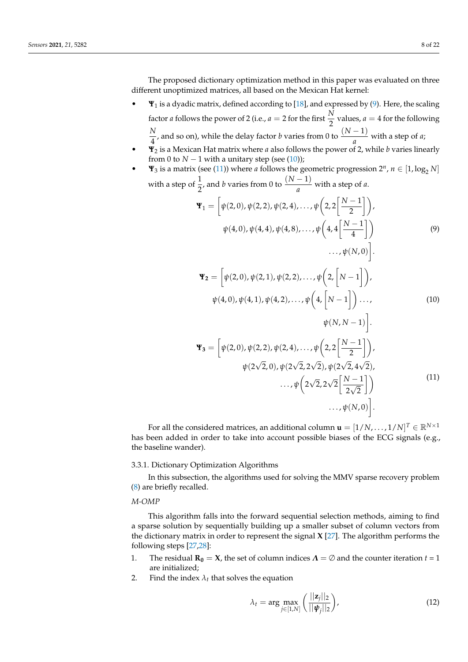The proposed dictionary optimization method in this paper was evaluated on three different unoptimized matrices, all based on the Mexican Hat kernel:

- **Ψ**<sup>1</sup> is a dyadic matrix, defined according to [\[18\]](#page-20-14), and expressed by [\(9\)](#page-7-1). Here, the scaling factor *a* follows the power of 2 (i.e., *a* = 2 for the first  $\frac{N}{2}$  values, *a* = 4 for the following *N*  $\frac{N}{4}$ , and so on), while the delay factor *b* varies from 0 to  $\frac{(N-1)}{a}$  with a step of *a*;
- **Ψ**<sup>2</sup> is a Mexican Hat matrix where *a* also follows the power of 2, while *b* varies linearly from 0 to  $N - 1$  with a unitary step (see [\(10\)](#page-7-2));
- <span id="page-7-1"></span>•  $\Psi_3$  is a matrix (see [\(11\)](#page-7-3)) where *a* follows the geometric progression  $2^n$ ,  $n \in [1, \log_2 N]$ with a step of  $\frac{1}{2}$ , and *b* varies from 0 to  $\frac{(N-1)}{a}$  with a step of *a*.

$$
\mathbf{\Psi}_1 = \left[ \psi(2,0), \psi(2,2), \psi(2,4), \dots, \psi\left(2,2\left[\frac{N-1}{2}\right]\right) \right],
$$
  

$$
\psi(4,0), \psi(4,4), \psi(4,8), \dots, \psi\left(4,4\left[\frac{N-1}{4}\right]\right)
$$
  

$$
\dots, \psi(N,0) \right].
$$
  
(9)

<span id="page-7-2"></span>
$$
\mathbf{\Psi}_{2} = \left[ \psi(2,0), \psi(2,1), \psi(2,2), \dots, \psi\left(2, \left[N-1\right]\right) \right],
$$
  
\n
$$
\psi(4,0), \psi(4,1), \psi(4,2), \dots, \psi\left(4, \left[N-1\right]\right) \dots,
$$
  
\n
$$
\psi(N, N-1) \right].
$$
  
\n
$$
\mathbf{\Psi}_{3} = \left[ \psi(2,0), \psi(2,2), \psi(2,4), \dots, \psi\left(2, 2\left[\frac{N-1}{2}\right]\right) \right],
$$
  
\n
$$
\psi(2\sqrt{2},0), \psi(2\sqrt{2}, 2\sqrt{2}), \psi(2\sqrt{2}, 4\sqrt{2}),
$$
  
\n
$$
\dots, \psi\left(2\sqrt{2}, 2\sqrt{2}\left[\frac{N-1}{2\sqrt{2}}\right]\right) \dots, \psi(N,0) \right].
$$
  
\n(11)

<span id="page-7-3"></span>For all the considered matrices, an additional column  $\mathbf{u} = [1/N, \dots, 1/N]^T \in \mathbb{R}^{N \times 1}$ has been added in order to take into account possible biases of the ECG signals (e.g., the baseline wander).

### <span id="page-7-0"></span>3.3.1. Dictionary Optimization Algorithms

In this subsection, the algorithms used for solving the MMV sparse recovery problem [\(8\)](#page-6-0) are briefly recalled.

*M-OMP*

This algorithm falls into the forward sequential selection methods, aiming to find a sparse solution by sequentially building up a smaller subset of column vectors from the dictionary matrix in order to represent the signal **X** [\[27\]](#page-21-1). The algorithm performs the following steps [\[27,](#page-21-1)[28\]](#page-21-2):

- 1. The residual  $\mathbf{R}_0 = \mathbf{X}$ , the set of column indices  $\Lambda = \emptyset$  and the counter iteration  $t = 1$ are initialized;
- 2. Find the index  $\lambda_t$  that solves the equation

$$
\lambda_t = \arg \max_{j \in [1,N]} \left( \frac{||\mathbf{z}_j||_2}{||\boldsymbol{\psi}_j||_2} \right),\tag{12}
$$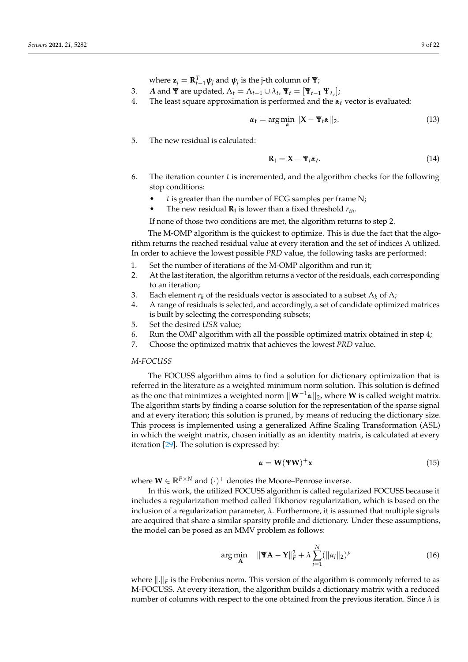where  $\mathbf{z}_j = \mathbf{R}_{t-1}^T \boldsymbol{\psi}_j$  and  $\boldsymbol{\psi}_j$  is the j-th column of  $\mathbf{\Psi}$ ;

- 3. *Λ* and **Ψ** are updated,  $Λ_t = Λ_{t-1} ∪ λ_t$ ,  $\Psi_t = [\Psi_{t-1} \Psi_{λ_t}];$
- 4. The least square approximation is performed and the *αt* vector is evaluated:

$$
\alpha_t = \arg\min_{\alpha} ||\mathbf{X} - \mathbf{\Psi}_t \alpha||_2. \tag{13}
$$

5. The new residual is calculated:

<span id="page-8-0"></span>
$$
\mathbf{R_t} = \mathbf{X} - \mathbf{\Psi}_t \boldsymbol{\alpha}_t. \tag{14}
$$

- 6. The iteration counter *t* is incremented, and the algorithm checks for the following stop conditions:
	- *t* is greater than the number of ECG samples per frame N;
	- The new residual **Rt** is lower than a fixed threshold *rth*.

If none of those two conditions are met, the algorithm returns to step 2.

The M-OMP algorithm is the quickest to optimize. This is due the fact that the algorithm returns the reached residual value at every iteration and the set of indices  $\Lambda$  utilized. In order to achieve the lowest possible *PRD* value, the following tasks are performed:

- 1. Set the number of iterations of the M-OMP algorithm and run it;
- 2. At the last iteration, the algorithm returns a vector of the residuals, each corresponding to an iteration;
- 3. Each element  $r_k$  of the residuals vector is associated to a subset  $\Lambda_k$  of  $\Lambda$ ;
- 4. A range of residuals is selected, and accordingly, a set of candidate optimized matrices is built by selecting the corresponding subsets;
- 5. Set the desired *USR* value;
- 6. Run the OMP algorithm with all the possible optimized matrix obtained in step 4;
- 7. Choose the optimized matrix that achieves the lowest *PRD* value.

### *M-FOCUSS*

The FOCUSS algorithm aims to find a solution for dictionary optimization that is referred in the literature as a weighted minimum norm solution. This solution is defined as the one that minimizes a weighted norm  $||\mathbf{W}^{-1}\mathbf{\alpha}||_2$ , where **W** is called weight matrix. The algorithm starts by finding a coarse solution for the representation of the sparse signal and at every iteration; this solution is pruned, by means of reducing the dictionary size. This process is implemented using a generalized Affine Scaling Transformation (ASL) in which the weight matrix, chosen initially as an identity matrix, is calculated at every iteration [\[29\]](#page-21-3). The solution is expressed by:

$$
\alpha = \mathbf{W}(\mathbf{W})^{+}\mathbf{x} \tag{15}
$$

where  $\mathbf{W} \in \mathbb{R}^{P \times N}$  and  $(\cdot)^+$  denotes the Moore–Penrose inverse.

In this work, the utilized FOCUSS algorithm is called regularized FOCUSS because it includes a regularization method called Tikhonov regularization, which is based on the inclusion of a regularization parameter,  $\lambda$ . Furthermore, it is assumed that multiple signals are acquired that share a similar sparsity profile and dictionary. Under these assumptions, the model can be posed as an MMV problem as follows:

<span id="page-8-1"></span>
$$
\arg\min_{\mathbf{A}} \quad \|\mathbf{Y}\mathbf{A} - \mathbf{Y}\|_{F}^{2} + \lambda \sum_{i=1}^{N} (\|\alpha_{i}\|_{2})^{p}
$$
\n(16)

where  $\|.\|_F$  is the Frobenius norm. This version of the algorithm is commonly referred to as M-FOCUSS. At every iteration, the algorithm builds a dictionary matrix with a reduced number of columns with respect to the one obtained from the previous iteration. Since *λ* is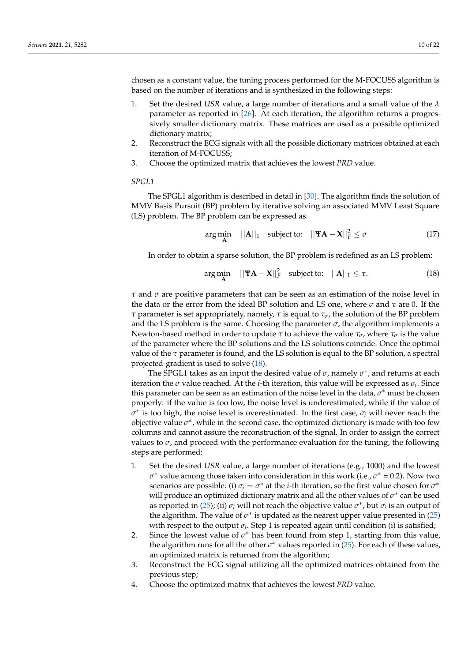chosen as a constant value, the tuning process performed for the M-FOCUSS algorithm is based on the number of iterations and is synthesized in the following steps:

- 1. Set the desired *USR* value, a large number of iterations and a small value of the *λ* parameter as reported in [\[26\]](#page-12-0). At each iteration, the algorithm returns a progressively smaller dictionary matrix. These matrices are used as a possible optimized dictionary matrix;
- 2. Reconstruct the ECG signals with all the possible dictionary matrices obtained at each iteration of M-FOCUSS;
- 3. Choose the optimized matrix that achieves the lowest *PRD* value.

# *SPGL1*

The SPGL1 algorithm is described in detail in [\[30\]](#page-21-4). The algorithm finds the solution of MMV Basis Pursuit (BP) problem by iterative solving an associated MMV Least Square (LS) problem. The BP problem can be expressed as

<span id="page-9-1"></span>
$$
\arg\min_{\mathbf{A}} \quad ||\mathbf{A}||_1 \quad \text{subject to:} \quad ||\mathbf{Y}\mathbf{A} - \mathbf{X}||_F^2 \le \sigma \tag{17}
$$

In order to obtain a sparse solution, the BP problem is redefined as an LS problem:

<span id="page-9-0"></span>
$$
\underset{\mathbf{A}}{\arg\min} \quad ||\mathbf{Y}\mathbf{A} - \mathbf{X}||_F^2 \quad \text{subject to:} \quad ||\mathbf{A}||_1 \le \tau. \tag{18}
$$

*τ* and *σ* are positive parameters that can be seen as an estimation of the noise level in the data or the error from the ideal BP solution and LS one, where *σ* and *τ* are 0. If the *τ* parameter is set appropriately, namely, *τ* is equal to *τσ*, the solution of the BP problem and the LS problem is the same. Choosing the parameter  $\sigma$ , the algorithm implements a Newton-based method in order to update *τ* to achieve the value *τσ*, where *τ<sup>σ</sup>* is the value of the parameter where the BP solutions and the LS solutions coincide. Once the optimal value of the *τ* parameter is found, and the LS solution is equal to the BP solution, a spectral projected-gradient is used to solve [\(18\)](#page-9-0).

The SPGL1 takes as an input the desired value of  $\sigma$ , namely  $\sigma^*$ , and returns at each iteration the *σ* value reached. At the *i*-th iteration, this value will be expressed as *σ<sup>i</sup>* . Since this parameter can be seen as an estimation of the noise level in the data,  $\sigma^*$  must be chosen properly: if the value is too low, the noise level is underestimated, while if the value of  $\tilde{\sigma}^*$  is too high, the noise level is overestimated. In the first case,  $\sigma_i$  will never reach the objective value  $\sigma^*$ , while in the second case, the optimized dictionary is made with too few columns and cannot assure the reconstruction of the signal. In order to assign the correct values to  $\sigma$ , and proceed with the performance evaluation for the tuning, the following steps are performed:

- 1. Set the desired *USR* value, a large number of iterations (e.g., 1000) and the lowest  $\sigma^*$  value among those taken into consideration in this work (i.e.,  $\sigma^* = 0.2$ ). Now two scenarios are possible: (i)  $\sigma_i = \sigma^*$  at the *i*-th iteration, so the first value chosen for  $\sigma^*$ will produce an optimized dictionary matrix and all the other values of  $\sigma^*$  can be used as reported in [\(25\)](#page-12-1); (ii)  $\sigma_i$  will not reach the objective value  $\sigma^*$ , but  $\sigma_i$  is an output of the algorithm. The value of  $\sigma^*$  is updated as the nearest upper value presented in [\(25\)](#page-12-1) with respect to the output  $\sigma_i$ . Step 1 is repeated again until condition (i) is satisfied;
- 2. Since the lowest value of  $\sigma^*$  has been found from step 1, starting from this value, the algorithm runs for all the other  $\sigma^*$  values reported in [\(25\)](#page-12-1). For each of these values, an optimized matrix is returned from the algorithm;
- 3. Reconstruct the ECG signal utilizing all the optimized matrices obtained from the previous step;
- 4. Choose the optimized matrix that achieves the lowest *PRD* value.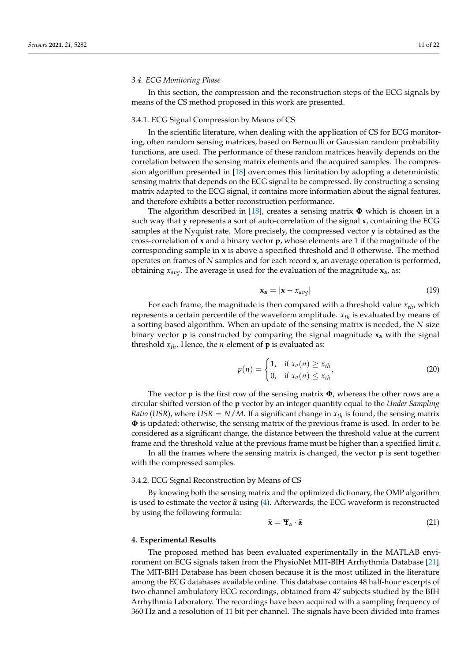### *3.4. ECG Monitoring Phase*

In this section, the compression and the reconstruction steps of the ECG signals by means of the CS method proposed in this work are presented.

#### <span id="page-10-1"></span>3.4.1. ECG Signal Compression by Means of CS

In the scientific literature, when dealing with the application of CS for ECG monitoring, often random sensing matrices, based on Bernoulli or Gaussian random probability functions, are used. The performance of these random matrices heavily depends on the correlation between the sensing matrix elements and the acquired samples. The compression algorithm presented in [\[18\]](#page-20-14) overcomes this limitation by adopting a deterministic sensing matrix that depends on the ECG signal to be compressed. By constructing a sensing matrix adapted to the ECG signal, it contains more information about the signal features, and therefore exhibits a better reconstruction performance.

The algorithm described in [\[18\]](#page-20-14), creates a sensing matrix **Φ** which is chosen in a such way that **y** represents a sort of auto-correlation of the signal **x**, containing the ECG samples at the Nyquist rate. More precisely, the compressed vector **y** is obtained as the cross-correlation of **x** and a binary vector **p**, whose elements are 1 if the magnitude of the corresponding sample in **x** is above a specified threshold and 0 otherwise. The method operates on frames of *N* samples and for each record **x**, an average operation is performed, obtaining *xavg*. The average is used for the evaluation of the magnitude **xa**, as:

$$
\mathbf{x_a} = |\mathbf{x} - x_{avg}| \tag{19}
$$

For each frame, the magnitude is then compared with a threshold value *xth*, which represents a certain percentile of the waveform amplitude. *xth* is evaluated by means of a sorting-based algorithm. When an update of the sensing matrix is needed, the *N*-size binary vector **p** is constructed by comparing the signal magnitude **x<sup>a</sup>** with the signal threshold  $x_{th}$ . Hence, the *n*-element of **p** is evaluated as:

$$
p(n) = \begin{cases} 1, & \text{if } x_a(n) \ge x_{th} \\ 0, & \text{if } x_a(n) \le x_{th} \end{cases} \tag{20}
$$

The vector **p** is the first row of the sensing matrix **Φ**, whereas the other rows are a circular shifted version of the **p** vector by an integer quantity equal to the *Under Sampling Ratio* (*USR*), where *USR* =  $N/M$ . If a significant change in  $x_{th}$  is found, the sensing matrix **Φ** is updated; otherwise, the sensing matrix of the previous frame is used. In order to be considered as a significant change, the distance between the threshold value at the current frame and the threshold value at the previous frame must be higher than a specified limit *ε*.

In all the frames where the sensing matrix is changed, the vector **p** is sent together with the compressed samples.

### 3.4.2. ECG Signal Reconstruction by Means of CS

By knowing both the sensing matrix and the optimized dictionary, the OMP algorithm is used to estimate the vector  $\hat{\alpha}$  using [\(4\)](#page-3-5). Afterwards, the ECG waveform is reconstructed by using the following formula:

$$
\widehat{\mathbf{x}} = \mathbf{\Psi}_{\alpha} \cdot \widehat{\alpha} \tag{21}
$$

### <span id="page-10-0"></span>**4. Experimental Results**

The proposed method has been evaluated experimentally in the MATLAB environment on ECG signals taken from the PhysioNet MIT-BIH Arrhythmia Database [\[21\]](#page-20-17). The MIT-BIH Database has been chosen because it is the most utilized in the literature among the ECG databases available online. This database contains 48 half-hour excerpts of two-channel ambulatory ECG recordings, obtained from 47 subjects studied by the BIH Arrhythmia Laboratory. The recordings have been acquired with a sampling frequency of 360 Hz and a resolution of 11 bit per channel. The signals have been divided into frames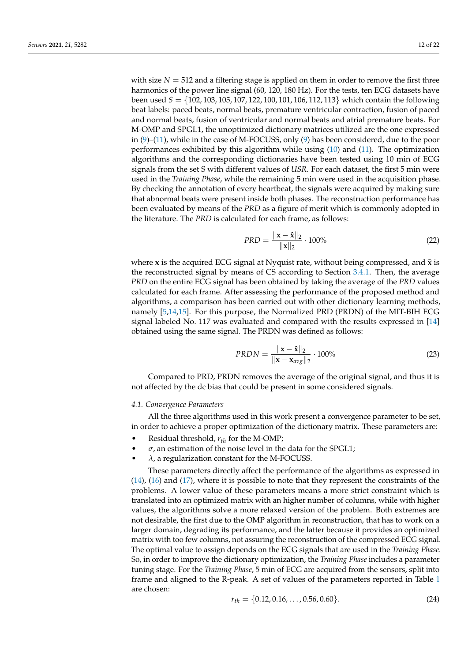with size  $N = 512$  and a filtering stage is applied on them in order to remove the first three harmonics of the power line signal (60, 120, 180 Hz). For the tests, ten ECG datasets have been used *S* = {102, 103, 105, 107, 122, 100, 101, 106, 112, 113} which contain the following beat labels: paced beats, normal beats, premature ventricular contraction, fusion of paced and normal beats, fusion of ventricular and normal beats and atrial premature beats. For M-OMP and SPGL1, the unoptimized dictionary matrices utilized are the one expressed in [\(9\)](#page-7-1)–[\(11\)](#page-7-3), while in the case of M-FOCUSS, only [\(9\)](#page-7-1) has been considered, due to the poor performances exhibited by this algorithm while using [\(10\)](#page-7-2) and [\(11\)](#page-7-3). The optimization algorithms and the corresponding dictionaries have been tested using 10 min of ECG signals from the set S with different values of *USR*. For each dataset, the first 5 min were used in the *Training Phase*, while the remaining 5 min were used in the acquisition phase. By checking the annotation of every heartbeat, the signals were acquired by making sure that abnormal beats were present inside both phases. The reconstruction performance has been evaluated by means of the *PRD* as a figure of merit which is commonly adopted in the literature. The *PRD* is calculated for each frame, as follows:

$$
PRD = \frac{\|\mathbf{x} - \hat{\mathbf{x}}\|_2}{\|\mathbf{x}\|_2} \cdot 100\% \tag{22}
$$

where **x** is the acquired ECG signal at Nyquist rate, without being compressed, and  $\hat{\mathbf{x}}$  is the reconstructed signal by means of CS according to Section [3.4.1.](#page-10-1) Then, the average *PRD* on the entire ECG signal has been obtained by taking the average of the *PRD* values calculated for each frame. After assessing the performance of the proposed method and algorithms, a comparison has been carried out with other dictionary learning methods, namely [\[5,](#page-20-3)[14,](#page-20-10)[15\]](#page-20-11). For this purpose, the Normalized PRD (PRDN) of the MIT-BIH ECG signal labeled No. 117 was evaluated and compared with the results expressed in [\[14\]](#page-20-10) obtained using the same signal. The PRDN was defined as follows:

$$
PRDN = \frac{\|\mathbf{x} - \hat{\mathbf{x}}\|_2}{\|\mathbf{x} - \mathbf{x}_{avg}\|_2} \cdot 100\% \tag{23}
$$

Compared to PRD, PRDN removes the average of the original signal, and thus it is not affected by the dc bias that could be present in some considered signals.

### <span id="page-11-0"></span>*4.1. Convergence Parameters*

All the three algorithms used in this work present a convergence parameter to be set, in order to achieve a proper optimization of the dictionary matrix. These parameters are:

- Residual threshold, *rth* for the M-OMP;
- $\sigma$ , an estimation of the noise level in the data for the SPGL1;
- $\lambda$ , a regularization constant for the M-FOCUSS.

These parameters directly affect the performance of the algorithms as expressed in [\(14\)](#page-8-0), [\(16\)](#page-8-1) and [\(17\)](#page-9-1), where it is possible to note that they represent the constraints of the problems. A lower value of these parameters means a more strict constraint which is translated into an optimized matrix with an higher number of columns, while with higher values, the algorithms solve a more relaxed version of the problem. Both extremes are not desirable, the first due to the OMP algorithm in reconstruction, that has to work on a larger domain, degrading its performance, and the latter because it provides an optimized matrix with too few columns, not assuring the reconstruction of the compressed ECG signal. The optimal value to assign depends on the ECG signals that are used in the *Training Phase*. So, in order to improve the dictionary optimization, the *Training Phase* includes a parameter tuning stage. For the *Training Phase*, 5 min of ECG are acquired from the sensors, split into frame and aligned to the R-peak. A set of values of the parameters reported in Table [1](#page-12-2) are chosen:

$$
r_{th} = \{0.12, 0.16, \dots, 0.56, 0.60\}.
$$
 (24)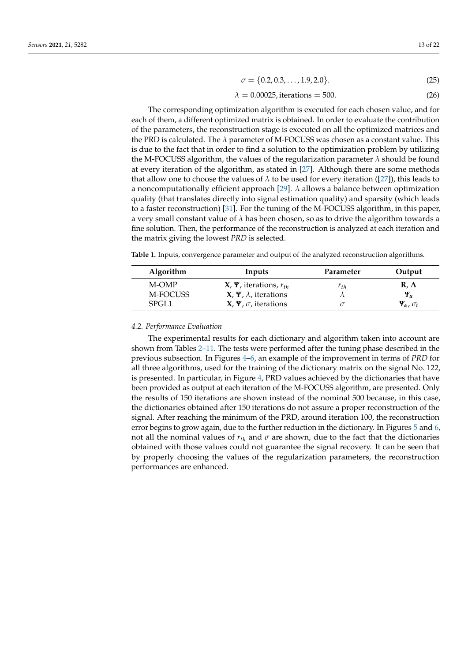<span id="page-12-1"></span>
$$
\sigma = \{0.2, 0.3, \dots, 1.9, 2.0\}.\tag{25}
$$

<span id="page-12-0"></span>
$$
\lambda = 0.00025, \text{iterations} = 500. \tag{26}
$$

The corresponding optimization algorithm is executed for each chosen value, and for each of them, a different optimized matrix is obtained. In order to evaluate the contribution of the parameters, the reconstruction stage is executed on all the optimized matrices and the PRD is calculated. The *λ* parameter of M-FOCUSS was chosen as a constant value. This is due to the fact that in order to find a solution to the optimization problem by utilizing the M-FOCUSS algorithm, the values of the regularization parameter  $\lambda$  should be found at every iteration of the algorithm, as stated in [\[27\]](#page-21-1). Although there are some methods that allow one to choose the values of  $\lambda$  to be used for every iteration ([\[27\]](#page-21-1)), this leads to a noncomputationally efficient approach [\[29\]](#page-21-3).  $\lambda$  allows a balance between optimization quality (that translates directly into signal estimation quality) and sparsity (which leads to a faster reconstruction) [\[31\]](#page-21-5). For the tuning of the M-FOCUSS algorithm, in this paper, a very small constant value of *λ* has been chosen, so as to drive the algorithm towards a fine solution. Then, the performance of the reconstruction is analyzed at each iteration and the matrix giving the lowest *PRD* is selected.

<span id="page-12-2"></span>**Table 1.** Inputs, convergence parameter and output of the analyzed reconstruction algorithms.

| <b>Algorithm</b> | Inputs                         | Parameter | Output                     |
|------------------|--------------------------------|-----------|----------------------------|
| M-OMP            | $X, Y$ , iterations, $r_{th}$  | $r_{th}$  | $R, \Lambda$               |
| M-FOCUSS         | $X, Y, \lambda$ , iterations   |           | $\Psi_{\alpha}$            |
| SPGL1            | $X, \Psi, \sigma$ , iterations |           | $\Psi_\alpha$ , $\sigma_t$ |

#### *4.2. Performance Evaluation*

The experimental results for each dictionary and algorithm taken into account are shown from Tables [2](#page-13-0)[–11.](#page-16-0) The tests were performed after the tuning phase described in the previous subsection. In Figures [4–](#page-17-0)[6,](#page-18-0) an example of the improvement in terms of *PRD* for all three algorithms, used for the training of the dictionary matrix on the signal No. 122, is presented. In particular, in Figure [4,](#page-17-0) PRD values achieved by the dictionaries that have been provided as output at each iteration of the M-FOCUSS algorithm, are presented. Only the results of 150 iterations are shown instead of the nominal 500 because, in this case, the dictionaries obtained after 150 iterations do not assure a proper reconstruction of the signal. After reaching the minimum of the PRD, around iteration 100, the reconstruction error begins to grow again, due to the further reduction in the dictionary. In Figures [5](#page-18-1) and [6,](#page-18-0) not all the nominal values of  $r_{th}$  and  $\sigma$  are shown, due to the fact that the dictionaries obtained with those values could not guarantee the signal recovery. It can be seen that by properly choosing the values of the regularization parameters, the reconstruction performances are enhanced.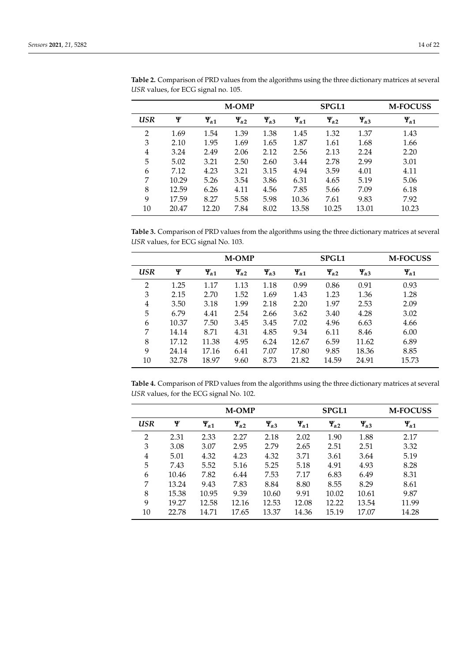|                |       |                   | <b>M-OMP</b>      |                   |                   | <b>SPGL1</b>      |                   | <b>M-FOCUSS</b>   |
|----------------|-------|-------------------|-------------------|-------------------|-------------------|-------------------|-------------------|-------------------|
| USR            | Ψ     | $\Psi_{\alpha 1}$ | $\Psi_{\alpha 2}$ | $\Psi_{\alpha 3}$ | $\Psi_{\alpha 1}$ | $\Psi_{\alpha 2}$ | $\Psi_{\alpha 3}$ | $\Psi_{\alpha 1}$ |
| $\overline{2}$ | 1.69  | 1.54              | 1.39              | 1.38              | 1.45              | 1.32              | 1.37              | 1.43              |
| 3              | 2.10  | 1.95              | 1.69              | 1.65              | 1.87              | 1.61              | 1.68              | 1.66              |
| 4              | 3.24  | 2.49              | 2.06              | 2.12              | 2.56              | 2.13              | 2.24              | 2.20              |
| 5              | 5.02  | 3.21              | 2.50              | 2.60              | 3.44              | 2.78              | 2.99              | 3.01              |
| 6              | 7.12  | 4.23              | 3.21              | 3.15              | 4.94              | 3.59              | 4.01              | 4.11              |
| 7              | 10.29 | 5.26              | 3.54              | 3.86              | 6.31              | 4.65              | 5.19              | 5.06              |
| 8              | 12.59 | 6.26              | 4.11              | 4.56              | 7.85              | 5.66              | 7.09              | 6.18              |
| 9              | 17.59 | 8.27              | 5.58              | 5.98              | 10.36             | 7.61              | 9.83              | 7.92              |
| 10             | 20.47 | 12.20             | 7.84              | 8.02              | 13.58             | 10.25             | 13.01             | 10.23             |

<span id="page-13-0"></span>**Table 2.** Comparison of PRD values from the algorithms using the three dictionary matrices at several *USR* values, for ECG signal no. 105.

<span id="page-13-1"></span>**Table 3.** Comparison of PRD values from the algorithms using the three dictionary matrices at several *USR* values, for ECG signal No. 103.

|                |       |                   | <b>M-OMP</b>      |                   |                   | <b>SPGL1</b>      |                   | <b>M-FOCUSS</b>   |
|----------------|-------|-------------------|-------------------|-------------------|-------------------|-------------------|-------------------|-------------------|
| <b>USR</b>     | Ψ     | $\Psi_{\alpha 1}$ | $\Psi_{\alpha 2}$ | $\Psi_{\alpha 3}$ | $\Psi_{\alpha 1}$ | $\Psi_{\alpha 2}$ | $\Psi_{\alpha 3}$ | $\Psi_{\alpha 1}$ |
| $\mathfrak{D}$ | 1.25  | 1.17              | 1.13              | 1.18              | 0.99              | 0.86              | 0.91              | 0.93              |
| 3              | 2.15  | 2.70              | 1.52              | 1.69              | 1.43              | 1.23              | 1.36              | 1.28              |
| 4              | 3.50  | 3.18              | 1.99              | 2.18              | 2.20              | 1.97              | 2.53              | 2.09              |
| 5              | 6.79  | 4.41              | 2.54              | 2.66              | 3.62              | 3.40              | 4.28              | 3.02              |
| 6              | 10.37 | 7.50              | 3.45              | 3.45              | 7.02              | 4.96              | 6.63              | 4.66              |
| 7              | 14.14 | 8.71              | 4.31              | 4.85              | 9.34              | 6.11              | 8.46              | 6.00              |
| 8              | 17.12 | 11.38             | 4.95              | 6.24              | 12.67             | 6.59              | 11.62             | 6.89              |
| 9              | 24.14 | 17.16             | 6.41              | 7.07              | 17.80             | 9.85              | 18.36             | 8.85              |
| 10             | 32.78 | 18.97             | 9.60              | 8.73              | 21.82             | 14.59             | 24.91             | 15.73             |

<span id="page-13-2"></span>**Table 4.** Comparison of PRD values from the algorithms using the three dictionary matrices at several *USR* values, for the ECG signal No. 102.

|            |       |                   | <b>M-OMP</b>      |                   |                   | <b>SPGL1</b>      | <b>M-FOCUSS</b>   |                   |
|------------|-------|-------------------|-------------------|-------------------|-------------------|-------------------|-------------------|-------------------|
| <b>USR</b> | Ψ     | $\Psi_{\alpha 1}$ | $\Psi_{\alpha 2}$ | $\Psi_{\alpha 3}$ | $\Psi_{\alpha 1}$ | $\Psi_{\alpha 2}$ | $\Psi_{\alpha 3}$ | $\Psi_{\alpha 1}$ |
| 2          | 2.31  | 2.33              | 2.27              | 2.18              | 2.02              | 1.90              | 1.88              | 2.17              |
| 3          | 3.08  | 3.07              | 2.95              | 2.79              | 2.65              | 2.51              | 2.51              | 3.32              |
| 4          | 5.01  | 4.32              | 4.23              | 4.32              | 3.71              | 3.61              | 3.64              | 5.19              |
| 5          | 7.43  | 5.52              | 5.16              | 5.25              | 5.18              | 4.91              | 4.93              | 8.28              |
| 6          | 10.46 | 7.82              | 6.44              | 7.53              | 7.17              | 6.83              | 6.49              | 8.31              |
| 7          | 13.24 | 9.43              | 7.83              | 8.84              | 8.80              | 8.55              | 8.29              | 8.61              |
| 8          | 15.38 | 10.95             | 9.39              | 10.60             | 9.91              | 10.02             | 10.61             | 9.87              |
| 9          | 19.27 | 12.58             | 12.16             | 12.53             | 12.08             | 12.22             | 13.54             | 11.99             |
| 10         | 22.78 | 14.71             | 17.65             | 13.37             | 14.36             | 15.19             | 17.07             | 14.28             |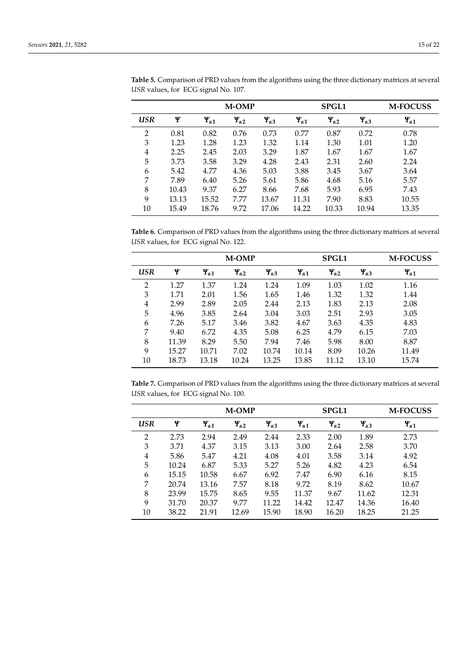|                |       |                   | <b>M-OMP</b>      |                   |                   | <b>SPGL1</b>      |                   | <b>M-FOCUSS</b>   |
|----------------|-------|-------------------|-------------------|-------------------|-------------------|-------------------|-------------------|-------------------|
| USR            | Ψ     | $\Psi_{\alpha 1}$ | $\Psi_{\alpha 2}$ | $\Psi_{\alpha 3}$ | $\Psi_{\alpha 1}$ | $\Psi_{\alpha 2}$ | $\Psi_{\alpha 3}$ | $\Psi_{\alpha 1}$ |
| $\overline{2}$ | 0.81  | 0.82              | 0.76              | 0.73              | 0.77              | 0.87              | 0.72              | 0.78              |
| 3              | 1.23  | 1.28              | 1.23              | 1.32              | 1.14              | 1.30              | 1.01              | 1.20              |
| 4              | 2.25  | 2.45              | 2.03              | 3.29              | 1.87              | 1.67              | 1.67              | 1.67              |
| 5              | 3.73  | 3.58              | 3.29              | 4.28              | 2.43              | 2.31              | 2.60              | 2.24              |
| 6              | 5.42  | 4.77              | 4.36              | 5.03              | 3.88              | 3.45              | 3.67              | 3.64              |
| 7              | 7.89  | 6.40              | 5.26              | 5.61              | 5.86              | 4.68              | 5.16              | 5.57              |
| 8              | 10.43 | 9.37              | 6.27              | 8.66              | 7.68              | 5.93              | 6.95              | 7.43              |
| 9              | 13.13 | 15.52             | 7.77              | 13.67             | 11.31             | 7.90              | 8.83              | 10.55             |
| 10             | 15.49 | 18.76             | 9.72              | 17.06             | 14.22             | 10.33             | 10.94             | 13.35             |

<span id="page-14-0"></span>**Table 5.** Comparison of PRD values from the algorithms using the three dictionary matrices at several *USR* values, for ECG signal No. 107.

<span id="page-14-1"></span>**Table 6.** Comparison of PRD values from the algorithms using the three dictionary matrices at several *USR* values, for ECG signal No. 122.

|                |       |                   | <b>M-OMP</b>      |                   |                   | <b>SPGL1</b>      |                   | <b>M-FOCUSS</b>   |
|----------------|-------|-------------------|-------------------|-------------------|-------------------|-------------------|-------------------|-------------------|
| USR            | Ψ     | $\Psi_{\alpha 1}$ | $\Psi_{\alpha 2}$ | $\Psi_{\alpha 3}$ | $\Psi_{\alpha 1}$ | $\Psi_{\alpha 2}$ | $\Psi_{\alpha 3}$ | $\Psi_{\alpha 1}$ |
| $\overline{2}$ | 1.27  | 1.37              | 1.24              | 1.24              | 1.09              | 1.03              | 1.02              | 1.16              |
| 3              | 1.71  | 2.01              | 1.56              | 1.65              | 1.46              | 1.32              | 1.32              | 1.44              |
| 4              | 2.99  | 2.89              | 2.05              | 2.44              | 2.13              | 1.83              | 2.13              | 2.08              |
| 5              | 4.96  | 3.85              | 2.64              | 3.04              | 3.03              | 2.51              | 2.93              | 3.05              |
| 6              | 7.26  | 5.17              | 3.46              | 3.82              | 4.67              | 3.63              | 4.35              | 4.83              |
| 7              | 9.40  | 6.72              | 4.35              | 5.08              | 6.25              | 4.79              | 6.15              | 7.03              |
| 8              | 11.39 | 8.29              | 5.50              | 7.94              | 7.46              | 5.98              | 8.00              | 8.87              |
| 9              | 15.27 | 10.71             | 7.02              | 10.74             | 10.14             | 8.09              | 10.26             | 11.49             |
| 10             | 18.73 | 13.18             | 10.24             | 13.25             | 13.85             | 11.12             | 13.10             | 15.74             |

<span id="page-14-2"></span>**Table 7.** Comparison of PRD values from the algorithms using the three dictionary matrices at several *USR* values, for ECG signal No. 100.

|            |       |                   | <b>M-OMP</b>      |                   |                   | <b>SPGL1</b>      | <b>M-FOCUSS</b>   |                   |
|------------|-------|-------------------|-------------------|-------------------|-------------------|-------------------|-------------------|-------------------|
| <b>USR</b> | Ψ     | $\Psi_{\alpha 1}$ | $\Psi_{\alpha 2}$ | $\Psi_{\alpha 3}$ | $\Psi_{\alpha 1}$ | $\Psi_{\alpha 2}$ | $\Psi_{\alpha 3}$ | $\Psi_{\alpha 1}$ |
| 2          | 2.73  | 2.94              | 2.49              | 2.44              | 2.33              | 2.00              | 1.89              | 2.73              |
| 3          | 3.71  | 4.37              | 3.15              | 3.13              | 3.00              | 2.64              | 2.58              | 3.70              |
| 4          | 5.86  | 5.47              | 4.21              | 4.08              | 4.01              | 3.58              | 3.14              | 4.92              |
| 5          | 10.24 | 6.87              | 5.33              | 5.27              | 5.26              | 4.82              | 4.23              | 6.54              |
| 6          | 15.15 | 10.58             | 6.67              | 6.92              | 7.47              | 6.90              | 6.16              | 8.15              |
| 7          | 20.74 | 13.16             | 7.57              | 8.18              | 9.72              | 8.19              | 8.62              | 10.67             |
| 8          | 23.99 | 15.75             | 8.65              | 9.55              | 11.37             | 9.67              | 11.62             | 12.31             |
| 9          | 31.70 | 20.37             | 9.77              | 11.22             | 14.42             | 12.47             | 14.36             | 16.40             |
| 10         | 38.22 | 21.91             | 12.69             | 15.90             | 18.90             | 16.20             | 18.25             | 21.25             |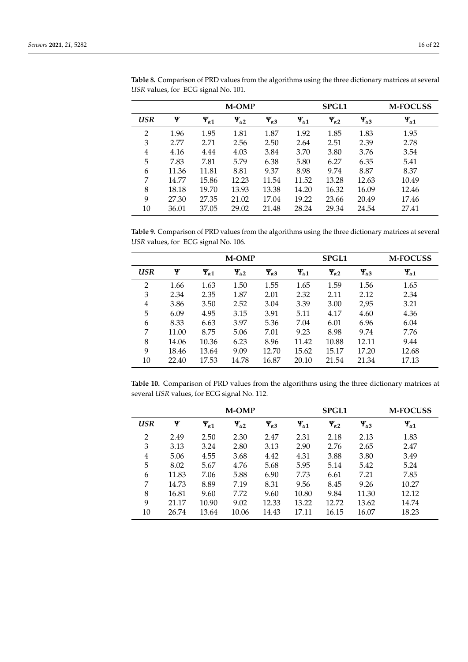|                |       |                   | <b>M-OMP</b>      |                   |                   | <b>SPGL1</b>      |                   | <b>M-FOCUSS</b>   |
|----------------|-------|-------------------|-------------------|-------------------|-------------------|-------------------|-------------------|-------------------|
| USR            | Ψ     | $\Psi_{\alpha 1}$ | $\Psi_{\alpha 2}$ | $\Psi_{\alpha 3}$ | $\Psi_{\alpha 1}$ | $\Psi_{\alpha 2}$ | $\Psi_{\alpha 3}$ | $\Psi_{\alpha 1}$ |
| $\overline{2}$ | 1.96  | 1.95              | 1.81              | 1.87              | 1.92              | 1.85              | 1.83              | 1.95              |
| 3              | 2.77  | 2.71              | 2.56              | 2.50              | 2.64              | 2.51              | 2.39              | 2.78              |
| 4              | 4.16  | 4.44              | 4.03              | 3.84              | 3.70              | 3.80              | 3.76              | 3.54              |
| 5              | 7.83  | 7.81              | 5.79              | 6.38              | 5.80              | 6.27              | 6.35              | 5.41              |
| 6              | 11.36 | 11.81             | 8.81              | 9.37              | 8.98              | 9.74              | 8.87              | 8.37              |
| 7              | 14.77 | 15.86             | 12.23             | 11.54             | 11.52             | 13.28             | 12.63             | 10.49             |
| 8              | 18.18 | 19.70             | 13.93             | 13.38             | 14.20             | 16.32             | 16.09             | 12.46             |
| 9              | 27.30 | 27.35             | 21.02             | 17.04             | 19.22             | 23.66             | 20.49             | 17.46             |
| 10             | 36.01 | 37.05             | 29.02             | 21.48             | 28.24             | 29.34             | 24.54             | 27.41             |

<span id="page-15-2"></span>**Table 8.** Comparison of PRD values from the algorithms using the three dictionary matrices at several *USR* values, for ECG signal No. 101.

<span id="page-15-0"></span>**Table 9.** Comparison of PRD values from the algorithms using the three dictionary matrices at several *USR* values, for ECG signal No. 106.

|     |       |                   | <b>M-OMP</b>      |                   |                   | <b>SPGL1</b>      |                   | <b>M-FOCUSS</b>   |
|-----|-------|-------------------|-------------------|-------------------|-------------------|-------------------|-------------------|-------------------|
| USR | Ψ     | $\Psi_{\alpha 1}$ | $\Psi_{\alpha 2}$ | $\Psi_{\alpha 3}$ | $\Psi_{\alpha 1}$ | $\Psi_{\alpha 2}$ | $\Psi_{\alpha 3}$ | $\Psi_{\alpha 1}$ |
| 2   | 1.66  | 1.63              | 1.50              | 1.55              | 1.65              | 1.59              | 1.56              | 1.65              |
| 3   | 2.34  | 2.35              | 1.87              | 2.01              | 2.32              | 2.11              | 2.12              | 2.34              |
| 4   | 3.86  | 3.50              | 2.52              | 3.04              | 3.39              | 3.00              | 2,95              | 3.21              |
| 5   | 6.09  | 4.95              | 3.15              | 3.91              | 5.11              | 4.17              | 4.60              | 4.36              |
| 6   | 8.33  | 6.63              | 3.97              | 5.36              | 7.04              | 6.01              | 6.96              | 6.04              |
| 7   | 11.00 | 8.75              | 5.06              | 7.01              | 9.23              | 8.98              | 9.74              | 7.76              |
| 8   | 14.06 | 10.36             | 6.23              | 8.96              | 11.42             | 10.88             | 12.11             | 9.44              |
| 9   | 18.46 | 13.64             | 9.09              | 12.70             | 15.62             | 15.17             | 17.20             | 12.68             |
| 10  | 22.40 | 17.53             | 14.78             | 16.87             | 20.10             | 21.54             | 21.34             | 17.13             |

<span id="page-15-1"></span>**Table 10.** Comparison of PRD values from the algorithms using the three dictionary matrices at several *USR* values, for ECG signal No. 112.

|                |       |                   | <b>M-OMP</b>      |                   |                   | <b>SPGL1</b>      | <b>M-FOCUSS</b>   |                   |
|----------------|-------|-------------------|-------------------|-------------------|-------------------|-------------------|-------------------|-------------------|
| <b>USR</b>     | Ψ     | $\Psi_{\alpha 1}$ | $\Psi_{\alpha 2}$ | $\Psi_{\alpha 3}$ | $\Psi_{\alpha 1}$ | $\Psi_{\alpha 2}$ | $\Psi_{\alpha 3}$ | $\Psi_{\alpha 1}$ |
| 2              | 2.49  | 2.50              | 2.30              | 2.47              | 2.31              | 2.18              | 2.13              | 1.83              |
| 3              | 3.13  | 3.24              | 2.80              | 3.13              | 2.90              | 2.76              | 2.65              | 2.47              |
| $\overline{4}$ | 5.06  | 4.55              | 3.68              | 4.42              | 4.31              | 3.88              | 3.80              | 3.49              |
| 5              | 8.02  | 5.67              | 4.76              | 5.68              | 5.95              | 5.14              | 5.42              | 5.24              |
| 6              | 11.83 | 7.06              | 5.88              | 6.90              | 7.73              | 6.61              | 7.21              | 7.85              |
| 7              | 14.73 | 8.89              | 7.19              | 8.31              | 9.56              | 8.45              | 9.26              | 10.27             |
| 8              | 16.81 | 9.60              | 7.72              | 9.60              | 10.80             | 9.84              | 11.30             | 12.12             |
| 9              | 21.17 | 10.90             | 9.02              | 12.33             | 13.22             | 12.72             | 13.62             | 14.74             |
| 10             | 26.74 | 13.64             | 10.06             | 14.43             | 17.11             | 16.15             | 16.07             | 18.23             |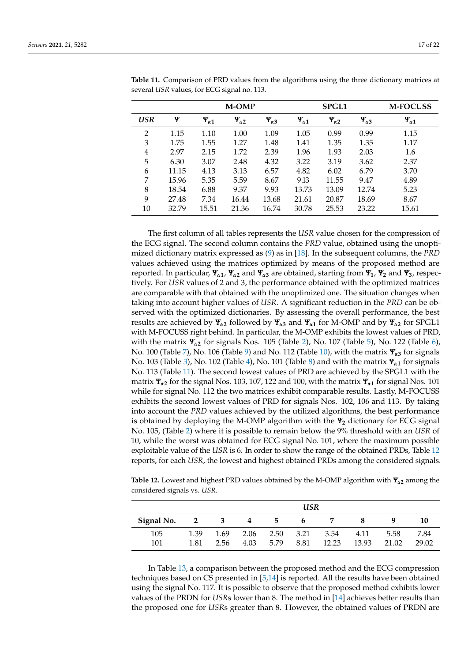|                |       |                   | <b>M-OMP</b>      |                   |                   | <b>SPGL1</b>      |                   | <b>M-FOCUSS</b>   |
|----------------|-------|-------------------|-------------------|-------------------|-------------------|-------------------|-------------------|-------------------|
| USR            | Ψ     | $\Psi_{\alpha 1}$ | $\Psi_{\alpha 2}$ | $\Psi_{\alpha 3}$ | $\Psi_{\alpha 1}$ | $\Psi_{\alpha 2}$ | $\Psi_{\alpha 3}$ | $\Psi_{\alpha 1}$ |
| $\overline{2}$ | 1.15  | 1.10              | 1.00              | 1.09              | 1.05              | 0.99              | 0.99              | 1.15              |
| 3              | 1.75  | 1.55              | 1.27              | 1.48              | 1.41              | 1.35              | 1.35              | 1.17              |
| 4              | 2.97  | 2.15              | 1.72              | 2.39              | 1.96              | 1.93              | 2.03              | 1.6               |
| 5              | 6.30  | 3.07              | 2.48              | 4.32              | 3.22              | 3.19              | 3.62              | 2.37              |
| 6              | 11.15 | 4.13              | 3.13              | 6.57              | 4.82              | 6.02              | 6.79              | 3.70              |
| 7              | 15.96 | 5.35              | 5.59              | 8.67              | 9.13              | 11.55             | 9.47              | 4.89              |
| 8              | 18.54 | 6.88              | 9.37              | 9.93              | 13.73             | 13.09             | 12.74             | 5.23              |
| 9              | 27.48 | 7.34              | 16.44             | 13.68             | 21.61             | 20.87             | 18.69             | 8.67              |
| 10             | 32.79 | 15.51             | 21.36             | 16.74             | 30.78             | 25.53             | 23.22             | 15.61             |

<span id="page-16-0"></span>**Table 11.** Comparison of PRD values from the algorithms using the three dictionary matrices at several *USR* values, for ECG signal no. 113.

The first column of all tables represents the *USR* value chosen for the compression of the ECG signal. The second column contains the *PRD* value, obtained using the unoptimized dictionary matrix expressed as [\(9\)](#page-7-1) as in [\[18\]](#page-20-14). In the subsequent columns, the *PRD* values achieved using the matrices optimized by means of the proposed method are reported. In particular,  $\Psi_{\alpha 1}$ ,  $\Psi_{\alpha 2}$  and  $\Psi_{\alpha 3}$  are obtained, starting from  $\Psi_1$ ,  $\Psi_2$  and  $\Psi_3$ , respectively. For *USR* values of 2 and 3, the performance obtained with the optimized matrices are comparable with that obtained with the unoptimized one. The situation changes when taking into account higher values of *USR*. A significant reduction in the *PRD* can be observed with the optimized dictionaries. By assessing the overall performance, the best results are achieved by  $\Psi_{\alpha}$ <sup>2</sup> followed by  $\Psi_{\alpha}$ <sup>2</sup> and  $\Psi_{\alpha}$ <sup>1</sup> for M-OMP and by  $\Psi_{\alpha}$ <sup>2</sup> for SPGL1 with M-FOCUSS right behind. In particular, the M-OMP exhibits the lowest values of PRD, with the matrix *Ψα***<sup>2</sup>** for signals Nos. 105 (Table [2\)](#page-13-0), No. 107 (Table [5\)](#page-14-0), No. 122 (Table [6\)](#page-14-1), No. 100 (Table [7\)](#page-14-2), No. 106 (Table [9\)](#page-15-0) and No. 112 (Table [10\)](#page-15-1), with the matrix *Ψα***<sup>3</sup>** for signals No. 103 (Table [3\)](#page-13-1), No. 102 (Table [4\)](#page-13-2), No. 101 (Table [8\)](#page-15-2) and with the matrix *Ψα***<sup>1</sup>** for signals No. 113 (Table [11\)](#page-16-0). The second lowest values of PRD are achieved by the SPGL1 with the matrix *Ψα***<sup>2</sup>** for the signal Nos. 103, 107, 122 and 100, with the matrix *Ψα***<sup>1</sup>** for signal Nos. 101 while for signal No. 112 the two matrices exhibit comparable results. Lastly, M-FOCUSS exhibits the second lowest values of PRD for signals Nos. 102, 106 and 113. By taking into account the *PRD* values achieved by the utilized algorithms, the best performance is obtained by deploying the M-OMP algorithm with the *Ψ***<sup>2</sup>** dictionary for ECG signal No. 105, (Table [2\)](#page-13-0) where it is possible to remain below the 9% threshold with an *USR* of 10, while the worst was obtained for ECG signal No. 101, where the maximum possible exploitable value of the *USR* is 6. In order to show the range of the obtained PRDs, Table [12](#page-16-1) reports, for each *USR*, the lowest and highest obtained PRDs among the considered signals.

<span id="page-16-1"></span>**Table 12.** Lowest and highest PRD values obtained by the M-OMP algorithm with *Ψα***<sup>2</sup>** among the considered signals vs. *USR*.

|            |                         | USR          |              |              |              |               |               |               |               |
|------------|-------------------------|--------------|--------------|--------------|--------------|---------------|---------------|---------------|---------------|
| Signal No. | $\overline{\mathbf{2}}$ | 3            | 4            | 5            | 6            |               |               |               | 10            |
| 105<br>101 | 1.39<br>1.81            | 1.69<br>2.56 | 2.06<br>4.03 | 2.50<br>5.79 | 3.21<br>8.81 | 3.54<br>12.23 | 4.11<br>13.93 | 5.58<br>21.02 | 7.84<br>29.02 |

In Table [13,](#page-17-1) a comparison between the proposed method and the ECG compression techniques based on CS presented in [\[5,](#page-20-3)[14\]](#page-20-10) is reported. All the results have been obtained using the signal No. 117. It is possible to observe that the proposed method exhibits lower values of the PRDN for *USR*s lower than 8. The method in [\[14\]](#page-20-10) achieves better results than the proposed one for *USR*s greater than 8. However, the obtained values of PRDN are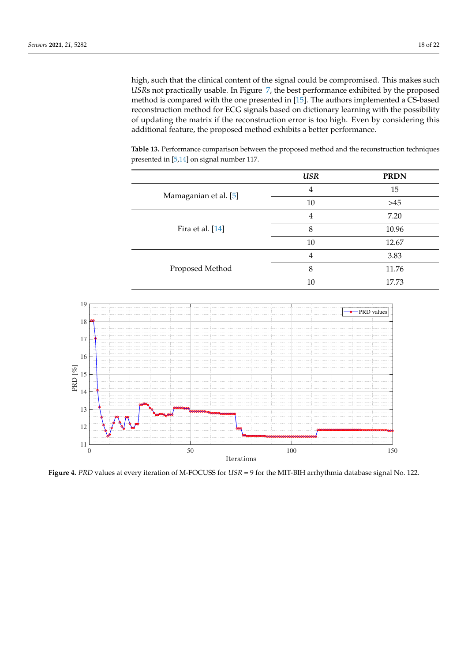high, such that the clinical content of the signal could be compromised. This makes such *USR*s not practically usable. In Figure [7,](#page-18-2) the best performance exhibited by the proposed method is compared with the one presented in [\[15\]](#page-20-11). The authors implemented a CS-based reconstruction method for ECG signals based on dictionary learning with the possibility of updating the matrix if the reconstruction error is too high. Even by considering this additional feature, the proposed method exhibits a better performance.

<span id="page-17-1"></span>**Table 13.** Performance comparison between the proposed method and the reconstruction techniques presented in [\[5,](#page-20-3)[14\]](#page-20-10) on signal number 117.

|                       | <b>USR</b>     | <b>PRDN</b> |
|-----------------------|----------------|-------------|
| Mamaganian et al. [5] | 4              | 15          |
|                       | 10             | $>45$       |
| Fira et al. [14]      | $\overline{4}$ | 7.20        |
|                       | 8              | 10.96       |
|                       | 10             | 12.67       |
| Proposed Method       | 4              | 3.83        |
|                       | 8              | 11.76       |
|                       | 10             | 17.73       |

<span id="page-17-0"></span>

**Figure 4.** *PRD* values at every iteration of M-FOCUSS for *USR* = 9 for the MIT-BIH arrhythmia database signal No. 122.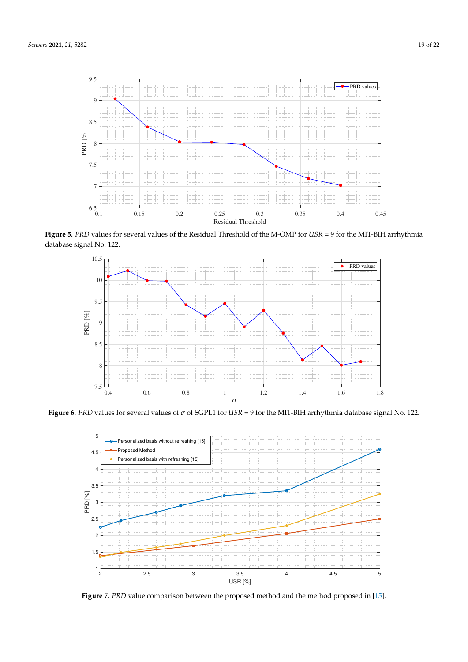<span id="page-18-1"></span>

<span id="page-18-0"></span>**Figure 5.** *PRD* values for several values of the Residual Threshold of the M-OMP for *USR* = 9 for the MIT-BIH arrhythmia database signal No. 122.



<span id="page-18-2"></span>**Figure 6.** *PRD* values for several values of *σ* of SGPL1 for *USR* = 9 for the MIT-BIH arrhythmia database signal No. 122.



**Figure 7.** *PRD* value comparison between the proposed method and the method proposed in [\[15\]](#page-20-11).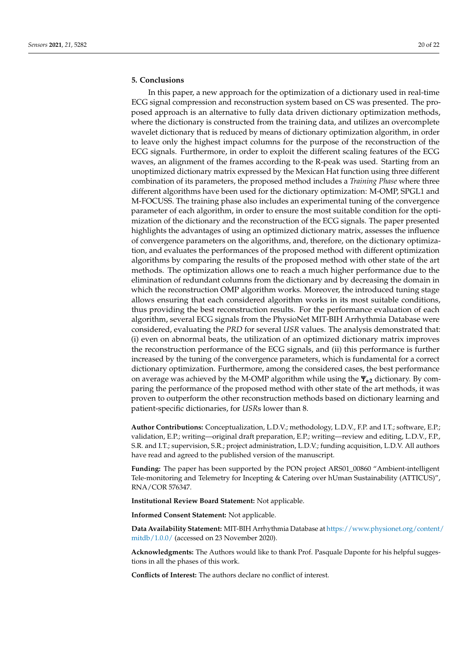# <span id="page-19-0"></span>**5. Conclusions**

In this paper, a new approach for the optimization of a dictionary used in real-time ECG signal compression and reconstruction system based on CS was presented. The proposed approach is an alternative to fully data driven dictionary optimization methods, where the dictionary is constructed from the training data, and utilizes an overcomplete wavelet dictionary that is reduced by means of dictionary optimization algorithm, in order to leave only the highest impact columns for the purpose of the reconstruction of the ECG signals. Furthermore, in order to exploit the different scaling features of the ECG waves, an alignment of the frames according to the R-peak was used. Starting from an unoptimized dictionary matrix expressed by the Mexican Hat function using three different combination of its parameters, the proposed method includes a *Training Phase* where three different algorithms have been used for the dictionary optimization: M-OMP, SPGL1 and M-FOCUSS. The training phase also includes an experimental tuning of the convergence parameter of each algorithm, in order to ensure the most suitable condition for the optimization of the dictionary and the reconstruction of the ECG signals. The paper presented highlights the advantages of using an optimized dictionary matrix, assesses the influence of convergence parameters on the algorithms, and, therefore, on the dictionary optimization, and evaluates the performances of the proposed method with different optimization algorithms by comparing the results of the proposed method with other state of the art methods. The optimization allows one to reach a much higher performance due to the elimination of redundant columns from the dictionary and by decreasing the domain in which the reconstruction OMP algorithm works. Moreover, the introduced tuning stage allows ensuring that each considered algorithm works in its most suitable conditions, thus providing the best reconstruction results. For the performance evaluation of each algorithm, several ECG signals from the PhysioNet MIT-BIH Arrhythmia Database were considered, evaluating the *PRD* for several *USR* values. The analysis demonstrated that: (i) even on abnormal beats, the utilization of an optimized dictionary matrix improves the reconstruction performance of the ECG signals, and (ii) this performance is further increased by the tuning of the convergence parameters, which is fundamental for a correct dictionary optimization. Furthermore, among the considered cases, the best performance on average was achieved by the M-OMP algorithm while using the *Ψα***<sup>2</sup>** dictionary. By comparing the performance of the proposed method with other state of the art methods, it was proven to outperform the other reconstruction methods based on dictionary learning and patient-specific dictionaries, for *USR*s lower than 8.

**Author Contributions:** Conceptualization, L.D.V.; methodology, L.D.V., F.P. and I.T.; software, E.P.; validation, E.P.; writing—original draft preparation, E.P.; writing—review and editing, L.D.V., F.P., S.R. and I.T.; supervision, S.R.; project administration, L.D.V.; funding acquisition, L.D.V. All authors have read and agreed to the published version of the manuscript.

**Funding:** The paper has been supported by the PON project ARS01\_00860 "Ambient-intelligent Tele-monitoring and Telemetry for Incepting & Catering over hUman Sustainability (ATTICUS)", RNA/COR 576347.

**Institutional Review Board Statement:** Not applicable.

**Informed Consent Statement:** Not applicable.

**Data Availability Statement:** MIT-BIH Arrhythmia Database at [https://www.physionet.org/content/](https://www.physionet.org/content/mitdb/1.0.0/) [mitdb/1.0.0/](https://www.physionet.org/content/mitdb/1.0.0/) (accessed on 23 November 2020).

**Acknowledgments:** The Authors would like to thank Prof. Pasquale Daponte for his helpful suggestions in all the phases of this work.

**Conflicts of Interest:** The authors declare no conflict of interest.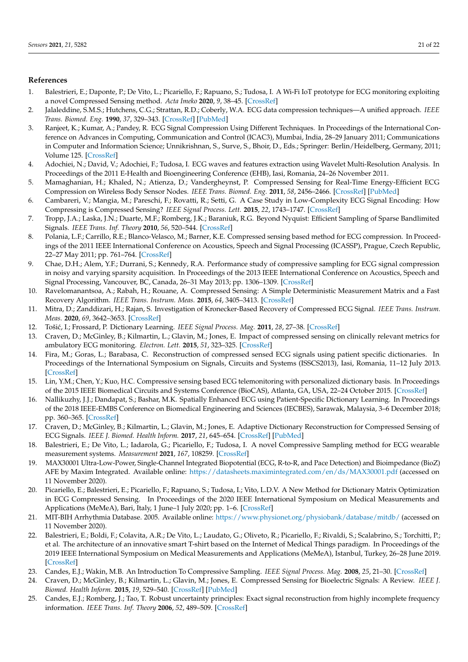# **References**

- <span id="page-20-0"></span>1. Balestrieri, E.; Daponte, P.; De Vito, L.; Picariello, F.; Rapuano, S.; Tudosa, I. A Wi-Fi IoT prototype for ECG monitoring exploiting a novel Compressed Sensing method. *Acta Imeko* **2020**, *9*, 38–45. [\[CrossRef\]](http://doi.org/10.21014/acta_imeko.v9i2.787)
- <span id="page-20-1"></span>2. Jalaleddine, S.M.S.; Hutchens, C.G.; Strattan, R.D.; Coberly, W.A. ECG data compression techniques—A unified approach. *IEEE Trans. Biomed. Eng.* **1990**, *37*, 329–343. [\[CrossRef\]](http://dx.doi.org/10.1109/10.52340) [\[PubMed\]](http://www.ncbi.nlm.nih.gov/pubmed/2186997)
- 3. Ranjeet, K.; Kumar, A.; Pandey, R. ECG Signal Compression Using Different Techniques. In Proceedings of the International Conference on Advances in Computing, Communication and Control (ICAC3), Mumbai, India, 28–29 January 2011; Communications in Computer and Information Science; Unnikrishnan, S., Surve, S., Bhoir, D., Eds.; Springer: Berlin/Heidelberg, Germany, 2011; Volume 125. [\[CrossRef\]](http://dx.doi.org/10.1007/978-3-642-18440-6_29)
- <span id="page-20-2"></span>4. Adochiei, N.; David, V.; Adochiei, F.; Tudosa, I. ECG waves and features extraction using Wavelet Multi-Resolution Analysis. In Proceedings of the 2011 E-Health and Bioengineering Conference (EHB), Iasi, Romania, 24–26 November 2011.
- <span id="page-20-3"></span>5. Mamaghanian, H.; Khaled, N.; Atienza, D.; Vandergheynst, P. Compressed Sensing for Real-Time Energy-Efficient ECG Compression on Wireless Body Sensor Nodes. *IEEE Trans. Biomed. Eng.* **2011**, *58*, 2456–2466. [\[CrossRef\]](http://dx.doi.org/10.1109/TBME.2011.2156795) [\[PubMed\]](http://www.ncbi.nlm.nih.gov/pubmed/21606019)
- <span id="page-20-4"></span>6. Cambareri, V.; Mangia, M.; Pareschi, F.; Rovatti, R.; Setti, G. A Case Study in Low-Complexity ECG Signal Encoding: How Compressing is Compressed Sensing? *IEEE Signal Process. Lett.* **2015**, *22*, 1743–1747. [\[CrossRef\]](http://dx.doi.org/10.1109/LSP.2015.2428431)
- 7. Tropp, J.A.; Laska, J.N.; Duarte, M.F.; Romberg, J.K.; Baraniuk, R.G. Beyond Nyquist: Efficient Sampling of Sparse Bandlimited Signals. *IEEE Trans. Inf. Theory* **2010**, *56*, 520–544. [\[CrossRef\]](http://dx.doi.org/10.1109/TIT.2009.2034811)
- <span id="page-20-21"></span>8. Polania, L.F.; Carrillo, R.E.; Blanco-Velasco, M.; Barner, K.E. Compressed sensing based method for ECG compression. In Proceedings of the 2011 IEEE International Conference on Acoustics, Speech and Signal Processing (ICASSP), Prague, Czech Republic, 22–27 May 2011; pp. 761–764. [\[CrossRef\]](http://dx.doi.org/10.1109/ICASSP.2011.5946515)
- <span id="page-20-5"></span>9. Chae, D.H.; Alem, Y.F.; Durrani, S.; Kennedy, R.A. Performance study of compressive sampling for ECG signal compression in noisy and varying sparsity acquisition. In Proceedings of the 2013 IEEE International Conference on Acoustics, Speech and Signal Processing, Vancouver, BC, Canada, 26–31 May 2013; pp. 1306–1309. [\[CrossRef\]](http://dx.doi.org/10.1109/ICASSP.2013.6637862)
- <span id="page-20-6"></span>10. Ravelomanantsoa, A.; Rabah, H.; Rouane, A. Compressed Sensing: A Simple Deterministic Measurement Matrix and a Fast Recovery Algorithm. *IEEE Trans. Instrum. Meas.* **2015**, *64*, 3405–3413. [\[CrossRef\]](http://dx.doi.org/10.1109/TIM.2015.2459471)
- <span id="page-20-7"></span>11. Mitra, D.; Zanddizari, H.; Rajan, S. Investigation of Kronecker-Based Recovery of Compressed ECG Signal. *IEEE Trans. Instrum. Meas.* **2020**, *69*, 3642–3653. [\[CrossRef\]](http://dx.doi.org/10.1109/TIM.2019.2936776)
- <span id="page-20-8"></span>12. Toši´c, I.; Frossard, P. Dictionary Learning. *IEEE Signal Process. Mag.* **2011**, *28*, 27–38. [\[CrossRef\]](http://dx.doi.org/10.1109/MSP.2010.939537)
- <span id="page-20-9"></span>13. Craven, D.; McGinley, B.; Kilmartin, L.; Glavin, M.; Jones, E. Impact of compressed sensing on clinically relevant metrics for ambulatory ECG monitoring. *Electron. Lett.* **2015**, *51*, 323–325. [\[CrossRef\]](http://dx.doi.org/10.1049/el.2014.4188)
- <span id="page-20-10"></span>14. Fira, M.; Goras, L.; Barabasa, C. Reconstruction of compressed sensed ECG signals using patient specific dictionaries. In Proceedings of the International Symposium on Signals, Circuits and Systems (ISSCS2013), Iasi, Romania, 11–12 July 2013. [\[CrossRef\]](http://dx.doi.org/10.1109/ISSCS.2013.6651246)
- <span id="page-20-11"></span>15. Lin, Y.M.; Chen, Y.; Kuo, H.C. Compressive sensing based ECG telemonitoring with personalized dictionary basis. In Proceedings of the 2015 IEEE Biomedical Circuits and Systems Conference (BioCAS), Atlanta, GA, USA, 22–24 October 2015. [\[CrossRef\]](http://dx.doi.org/10.1109/BioCAS.2015.7348374)
- <span id="page-20-12"></span>16. Nallikuzhy, J.J.; Dandapat, S.; Bashar, M.K. Spatially Enhanced ECG using Patient-Specific Dictionary Learning. In Proceedings of the 2018 IEEE-EMBS Conference on Biomedical Engineering and Sciences (IECBES), Sarawak, Malaysia, 3–6 December 2018; pp. 360–365. [\[CrossRef\]](http://dx.doi.org/10.1109/IECBES.2018.8626665)
- <span id="page-20-13"></span>17. Craven, D.; McGinley, B.; Kilmartin, L.; Glavin, M.; Jones, E. Adaptive Dictionary Reconstruction for Compressed Sensing of ECG Signals. *IEEE J. Biomed. Health Inform.* **2017**, *21*, 645–654. [\[CrossRef\]](http://dx.doi.org/10.1109/JBHI.2016.2531182) [\[PubMed\]](http://www.ncbi.nlm.nih.gov/pubmed/26890933)
- <span id="page-20-14"></span>18. Balestrieri, E.; De Vito, L.; Iadarola, G.; Picariello, F.; Tudosa, I. A novel Compressive Sampling method for ECG wearable measurement systems. *Measurement* **2021**, *167*, 108259. [\[CrossRef\]](http://dx.doi.org/10.1016/j.measurement.2020.108259)
- <span id="page-20-15"></span>19. MAX30001 Ultra-Low-Power, Single-Channel Integrated Biopotential (ECG, R-to-R, and Pace Detection) and Bioimpedance (BioZ) AFE by Maxim Integrated. Available online: <https://datasheets.maximintegrated.com/en/ds/MAX30001.pdf> (accessed on 11 November 2020).
- <span id="page-20-16"></span>20. Picariello, E.; Balestrieri, E.; Picariello, F.; Rapuano, S.; Tudosa, I.; Vito, L.D.V. A New Method for Dictionary Matrix Optimization in ECG Compressed Sensing. In Proceedings of the 2020 IEEE International Symposium on Medical Measurements and Applications (MeMeA), Bari, Italy, 1 June–1 July 2020; pp. 1–6. [\[CrossRef\]](http://dx.doi.org/10.1109/MeMeA49120.2020.9137165)
- <span id="page-20-17"></span>21. MIT-BIH Arrhythmia Database. 2005. Available online: <https://www.physionet.org/physiobank/database/mitdb/> (accessed on 11 November 2020).
- <span id="page-20-18"></span>22. Balestrieri, E.; Boldi, F.; Colavita, A.R.; De Vito, L.; Laudato, G.; Oliveto, R.; Picariello, F.; Rivaldi, S.; Scalabrino, S.; Torchitti, P.; et al. The architecture of an innovative smart T-shirt based on the Internet of Medical Things paradigm. In Proceedings of the 2019 IEEE International Symposium on Medical Measurements and Applications (MeMeA), Istanbul, Turkey, 26–28 June 2019. [\[CrossRef\]](http://dx.doi.org/10.1109/MeMeA.2019.8802143)
- <span id="page-20-19"></span>23. Candes, E.J.; Wakin, M.B. An Introduction To Compressive Sampling. *IEEE Signal Process. Mag.* **2008**, *25*, 21–30. [\[CrossRef\]](http://dx.doi.org/10.1109/MSP.2007.914731)
- <span id="page-20-20"></span>24. Craven, D.; McGinley, B.; Kilmartin, L.; Glavin, M.; Jones, E. Compressed Sensing for Bioelectric Signals: A Review. *IEEE J. Biomed. Health Inform.* **2015**, *19*, 529–540. [\[CrossRef\]](http://dx.doi.org/10.1109/JBHI.2014.2327194) [\[PubMed\]](http://www.ncbi.nlm.nih.gov/pubmed/24879647)
- <span id="page-20-22"></span>25. Candes, E.J.; Romberg, J.; Tao, T. Robust uncertainty principles: Exact signal reconstruction from highly incomplete frequency information. *IEEE Trans. Inf. Theory* **2006**, *52*, 489–509. [\[CrossRef\]](http://dx.doi.org/10.1109/TIT.2005.862083)